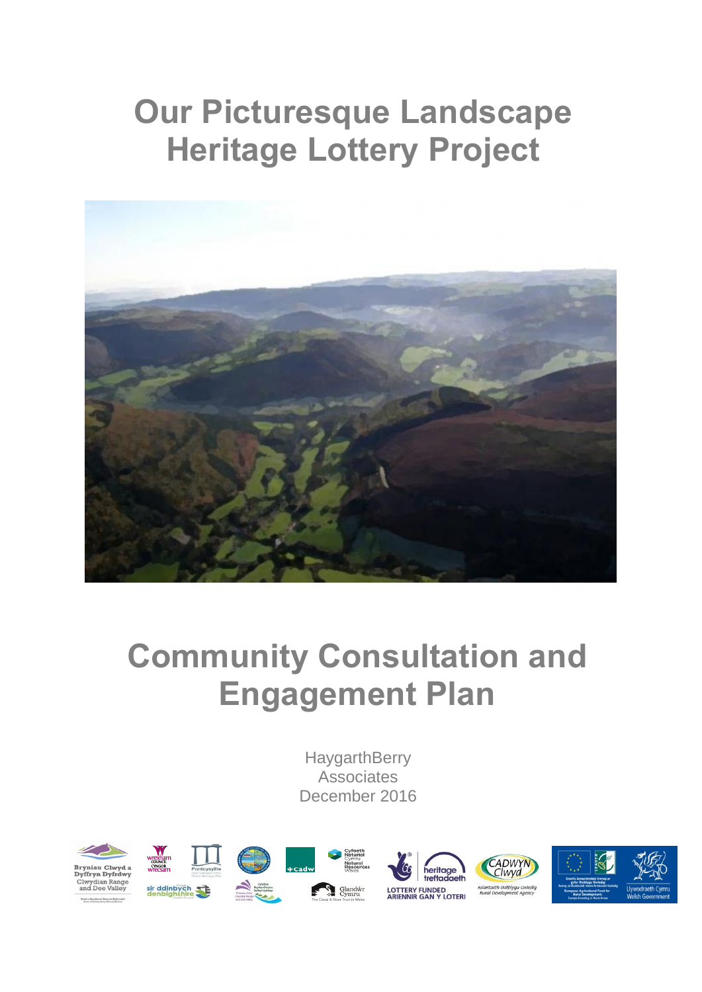## **Our Picturesque Landscape Heritage Lottery Project**



## **Community Consultation and Engagement Plan**

**HaygarthBerry Associates** December 2016

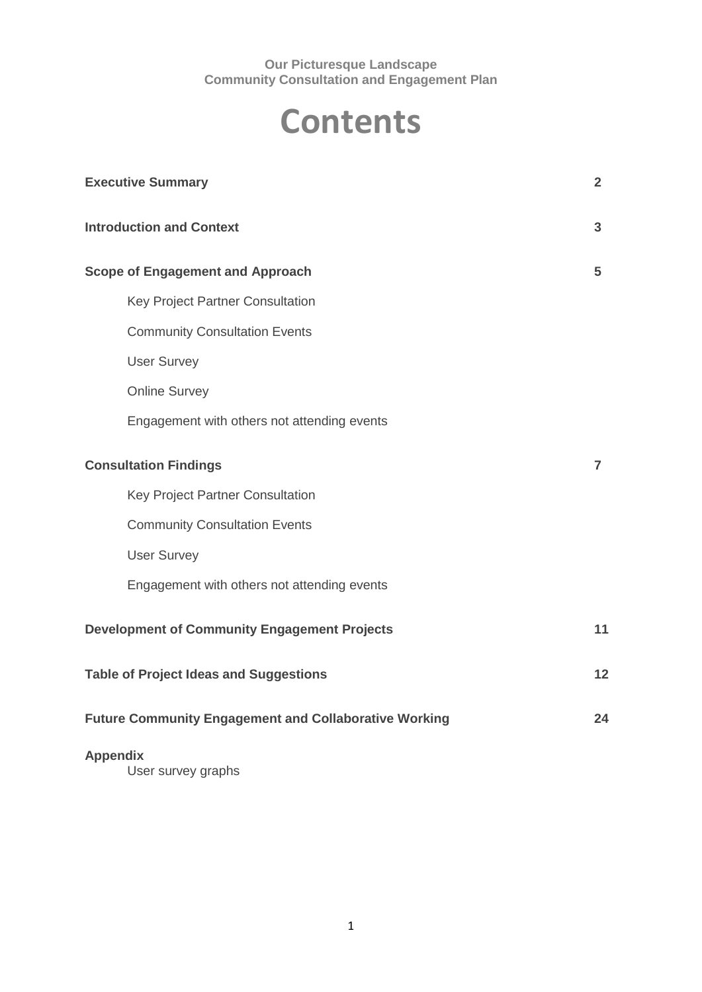## **Contents**

| <b>Executive Summary</b>                                     | $\overline{2}$ |
|--------------------------------------------------------------|----------------|
| <b>Introduction and Context</b>                              | 3              |
| <b>Scope of Engagement and Approach</b>                      | 5              |
| Key Project Partner Consultation                             |                |
| <b>Community Consultation Events</b>                         |                |
| <b>User Survey</b>                                           |                |
| <b>Online Survey</b>                                         |                |
| Engagement with others not attending events                  |                |
| <b>Consultation Findings</b>                                 | $\overline{7}$ |
| Key Project Partner Consultation                             |                |
| <b>Community Consultation Events</b>                         |                |
| <b>User Survey</b>                                           |                |
| Engagement with others not attending events                  |                |
| <b>Development of Community Engagement Projects</b>          | 11             |
| <b>Table of Project Ideas and Suggestions</b>                | 12             |
| <b>Future Community Engagement and Collaborative Working</b> | 24             |
| <b>Appendix</b><br>User survey graphs                        |                |

1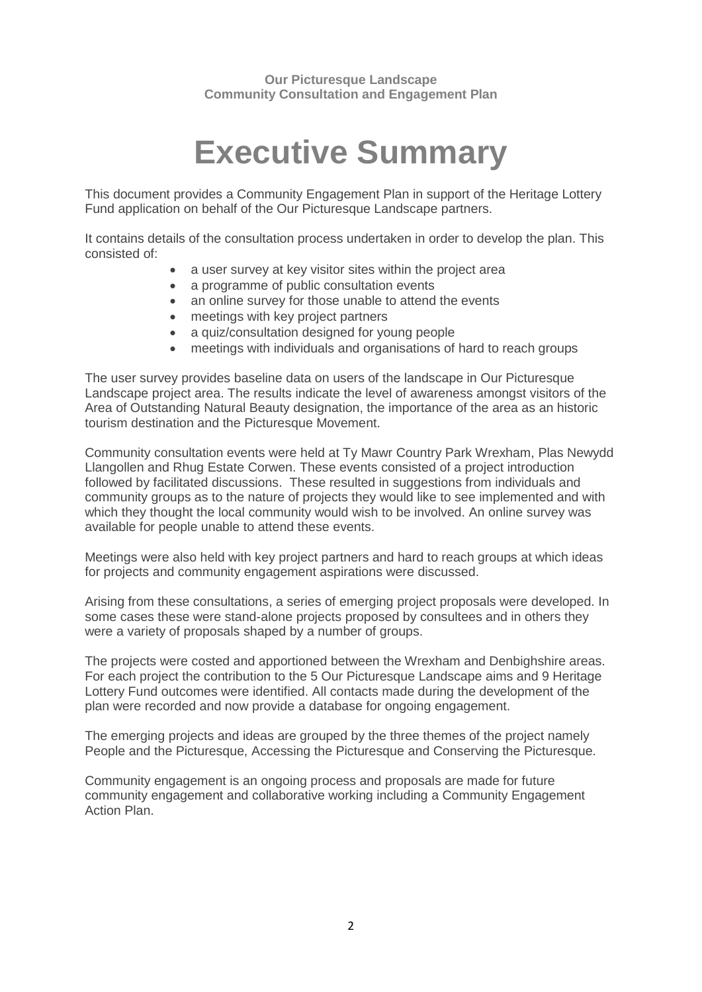## **Executive Summary**

This document provides a Community Engagement Plan in support of the Heritage Lottery Fund application on behalf of the Our Picturesque Landscape partners.

It contains details of the consultation process undertaken in order to develop the plan. This consisted of:

- a user survey at key visitor sites within the project area
- a programme of public consultation events
- an online survey for those unable to attend the events
- meetings with key project partners
- a quiz/consultation designed for young people
- meetings with individuals and organisations of hard to reach groups

The user survey provides baseline data on users of the landscape in Our Picturesque Landscape project area. The results indicate the level of awareness amongst visitors of the Area of Outstanding Natural Beauty designation, the importance of the area as an historic tourism destination and the Picturesque Movement.

Community consultation events were held at Ty Mawr Country Park Wrexham, Plas Newydd Llangollen and Rhug Estate Corwen. These events consisted of a project introduction followed by facilitated discussions. These resulted in suggestions from individuals and community groups as to the nature of projects they would like to see implemented and with which they thought the local community would wish to be involved. An online survey was available for people unable to attend these events.

Meetings were also held with key project partners and hard to reach groups at which ideas for projects and community engagement aspirations were discussed.

Arising from these consultations, a series of emerging project proposals were developed. In some cases these were stand-alone projects proposed by consultees and in others they were a variety of proposals shaped by a number of groups.

The projects were costed and apportioned between the Wrexham and Denbighshire areas. For each project the contribution to the 5 Our Picturesque Landscape aims and 9 Heritage Lottery Fund outcomes were identified. All contacts made during the development of the plan were recorded and now provide a database for ongoing engagement.

The emerging projects and ideas are grouped by the three themes of the project namely People and the Picturesque, Accessing the Picturesque and Conserving the Picturesque.

Community engagement is an ongoing process and proposals are made for future community engagement and collaborative working including a Community Engagement Action Plan.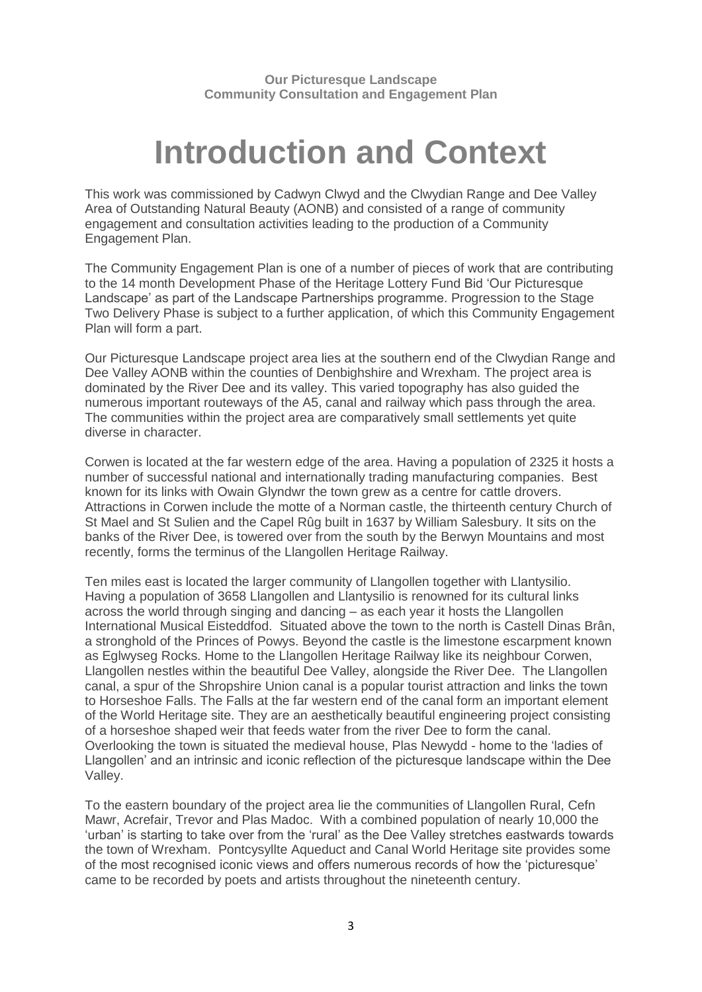## **Introduction and Context**

This work was commissioned by Cadwyn Clwyd and the Clwydian Range and Dee Valley Area of Outstanding Natural Beauty (AONB) and consisted of a range of community engagement and consultation activities leading to the production of a Community Engagement Plan.

The Community Engagement Plan is one of a number of pieces of work that are contributing to the 14 month Development Phase of the Heritage Lottery Fund Bid 'Our Picturesque Landscape' as part of the Landscape Partnerships programme. Progression to the Stage Two Delivery Phase is subject to a further application, of which this Community Engagement Plan will form a part.

Our Picturesque Landscape project area lies at the southern end of the Clwydian Range and Dee Valley AONB within the counties of Denbighshire and Wrexham. The project area is dominated by the River Dee and its valley. This varied topography has also guided the numerous important routeways of the A5, canal and railway which pass through the area. The communities within the project area are comparatively small settlements yet quite diverse in character.

Corwen is located at the far western edge of the area. Having a population of 2325 it hosts a number of successful national and internationally trading manufacturing companies. Best known for its links with Owain Glyndwr the town grew as a centre for [cattle](https://en.wikipedia.org/wiki/Cattle) [drovers.](https://en.wikipedia.org/wiki/Droving) Attractions in Corwen include the motte of a Norman castle, the thirteenth century Church of St Mael and St Sulien and the Capel Rûg built in 1637 by William Salesbury. It sits on the banks of the River Dee, is towered over from the south by the Berwyn Mountains and most recently, forms the terminus of the Llangollen Heritage Railway.

Ten miles east is located the larger community of Llangollen together with Llantysilio. Having a population of 3658 Llangollen and Llantysilio is renowned for its cultural links across the world through singing and dancing – as each year it hosts the Llangollen International Musical Eisteddfod. Situated above the town to the north is Castell Dinas Brân, a stronghold of the Princes of Powys. Beyond the castle is the limestone escarpment known as Eglwyseg Rocks. Home to the Llangollen Heritage Railway like its neighbour Corwen, Llangollen nestles within the beautiful Dee Valley, alongside the River Dee. The Llangollen canal, a spur of the Shropshire Union canal is a popular tourist attraction and links the town to Horseshoe Falls. The Falls at the far western end of the canal form an important element of the World Heritage site. They are an aesthetically beautiful engineering project consisting of a horseshoe shaped weir that feeds water from the river Dee to form the canal. Overlooking the town is situated the medieval house, Plas Newydd - home to the 'ladies of Llangollen' and an intrinsic and iconic reflection of the picturesque landscape within the Dee Valley.

To the eastern boundary of the project area lie the communities of Llangollen Rural, Cefn Mawr, Acrefair, Trevor and Plas Madoc. With a combined population of nearly 10,000 the 'urban' is starting to take over from the 'rural' as the Dee Valley stretches eastwards towards the town of Wrexham. Pontcysyllte Aqueduct and Canal World Heritage site provides some of the most recognised iconic views and offers numerous records of how the 'picturesque' came to be recorded by poets and artists throughout the nineteenth century.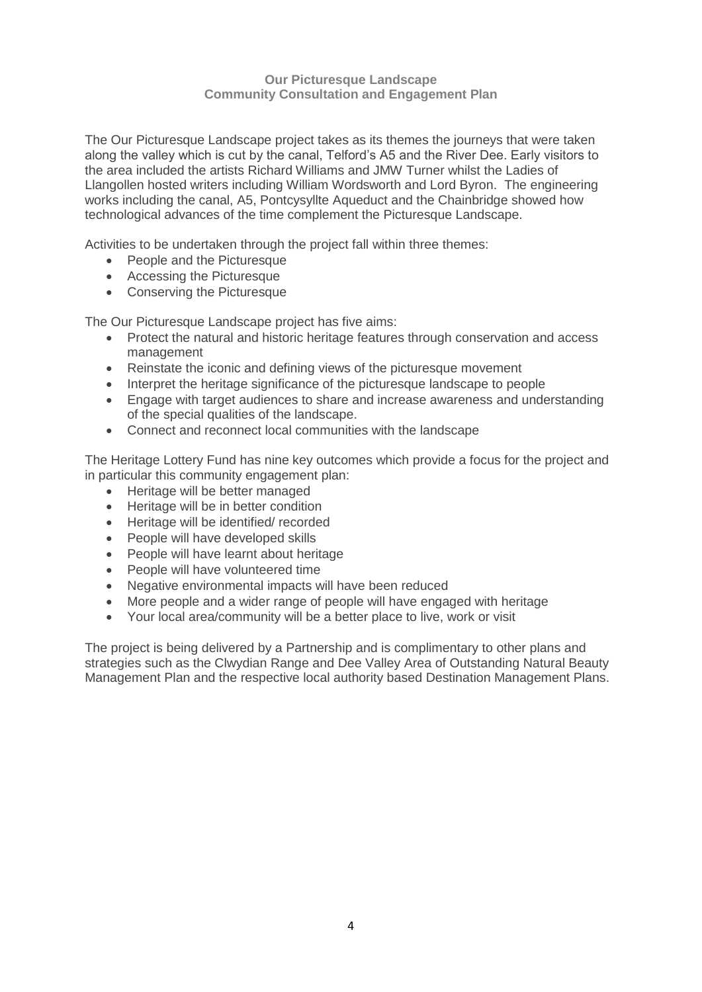The Our Picturesque Landscape project takes as its themes the journeys that were taken along the valley which is cut by the canal, Telford's A5 and the River Dee. Early visitors to the area included the artists Richard Williams and JMW Turner whilst the Ladies of Llangollen hosted writers including William Wordsworth and Lord Byron. The engineering works including the canal, A5, Pontcysyllte Aqueduct and the Chainbridge showed how technological advances of the time complement the Picturesque Landscape.

Activities to be undertaken through the project fall within three themes:

- People and the Picturesque
- Accessing the Picturesque
- Conserving the Picturesque

The Our Picturesque Landscape project has five aims:

- Protect the natural and historic heritage features through conservation and access management
- Reinstate the iconic and defining views of the picturesque movement
- Interpret the heritage significance of the picturesque landscape to people
- Engage with target audiences to share and increase awareness and understanding of the special qualities of the landscape.
- Connect and reconnect local communities with the landscape

The Heritage Lottery Fund has nine key outcomes which provide a focus for the project and in particular this community engagement plan:

- Heritage will be better managed
- Heritage will be in better condition
- Heritage will be identified/ recorded
- People will have developed skills
- People will have learnt about heritage
- People will have volunteered time
- Negative environmental impacts will have been reduced
- More people and a wider range of people will have engaged with heritage
- Your local area/community will be a better place to live, work or visit

The project is being delivered by a Partnership and is complimentary to other plans and strategies such as the Clwydian Range and Dee Valley Area of Outstanding Natural Beauty Management Plan and the respective local authority based Destination Management Plans.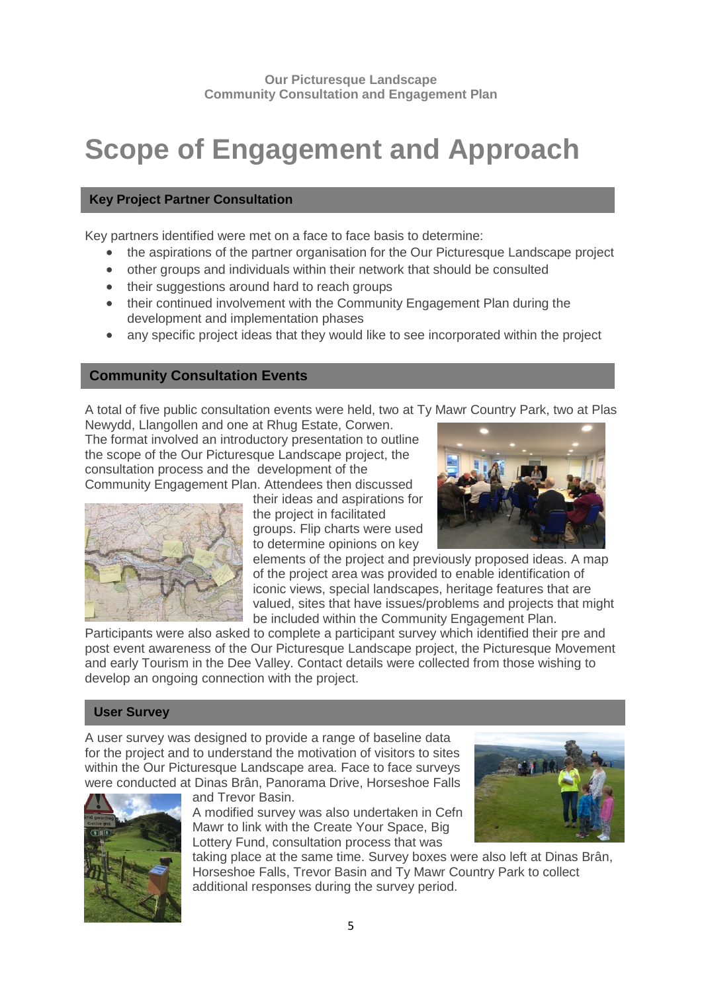### **Scope of Engagement and Approach**

#### **Key Project Partner Consultation**

Key partners identified were met on a face to face basis to determine:

- the aspirations of the partner organisation for the Our Picturesque Landscape project
- other groups and individuals within their network that should be consulted
- their suggestions around hard to reach groups
- their continued involvement with the Community Engagement Plan during the development and implementation phases
- any specific project ideas that they would like to see incorporated within the project

#### **Community Consultation Events**

A total of five public consultation events were held, two at Ty Mawr Country Park, two at Plas

Newydd, Llangollen and one at Rhug Estate, Corwen. The format involved an introductory presentation to outline the scope of the Our Picturesque Landscape project, the consultation process and the development of the Community Engagement Plan. Attendees then discussed



their ideas and aspirations for the project in facilitated groups. Flip charts were used to determine opinions on key



elements of the project and previously proposed ideas. A map of the project area was provided to enable identification of iconic views, special landscapes, heritage features that are valued, sites that have issues/problems and projects that might be included within the Community Engagement Plan.

Participants were also asked to complete a participant survey which identified their pre and post event awareness of the Our Picturesque Landscape project, the Picturesque Movement and early Tourism in the Dee Valley. Contact details were collected from those wishing to develop an ongoing connection with the project.

#### **User Survey**

A user survey was designed to provide a range of baseline data for the project and to understand the motivation of visitors to sites within the Our Picturesque Landscape area. Face to face surveys were conducted at Dinas Brân, Panorama Drive, Horseshoe Falls



and Trevor Basin. A modified survey was also undertaken in Cefn

Mawr to link with the Create Your Space, Big Lottery Fund, consultation process that was



taking place at the same time. Survey boxes were also left at Dinas Brân, Horseshoe Falls, Trevor Basin and Ty Mawr Country Park to collect additional responses during the survey period.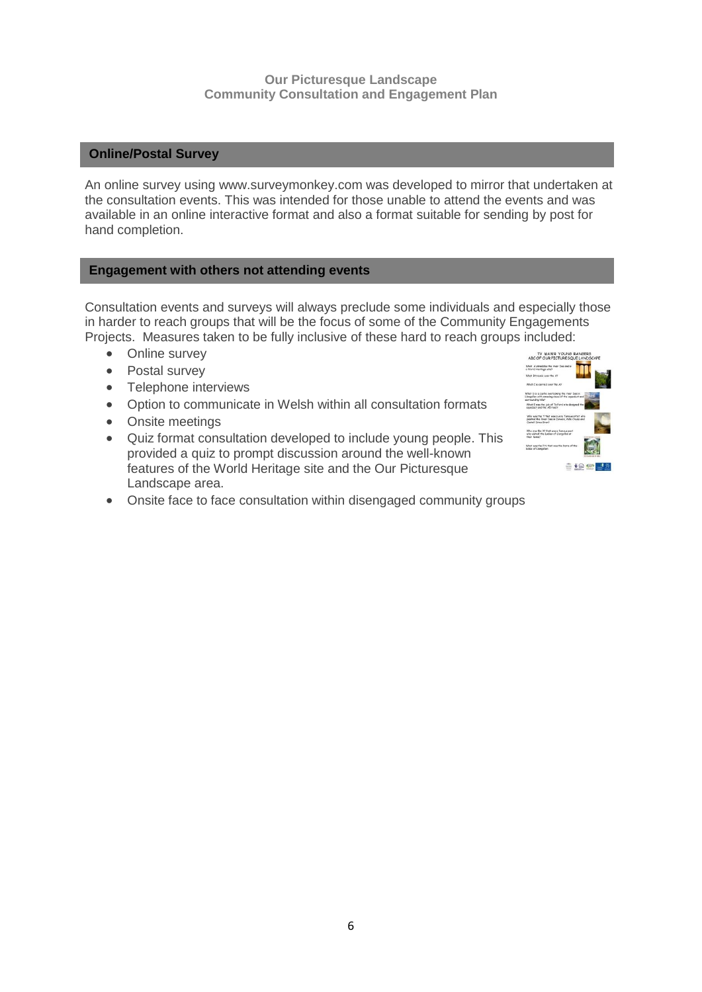#### **Online/Postal Survey**

An online survey using www.surveymonkey.com was developed to mirror that undertaken at the consultation events. This was intended for those unable to attend the events and was available in an online interactive format and also a format suitable for sending by post for hand completion.

#### **Engagement with others not attending events**

Consultation events and surveys will always preclude some individuals and especially those in harder to reach groups that will be the focus of some of the Community Engagements Projects. Measures taken to be fully inclusive of these hard to reach groups included:

- Online survey
- Postal survey
- Telephone interviews
- Option to communicate in Welsh within all consultation formats
- Onsite meetings
- Quiz format consultation developed to include young people. This provided a quiz to prompt discussion around the well-known features of the World Heritage site and the Our Picturesque Landscape area.



Onsite face to face consultation within disengaged community groups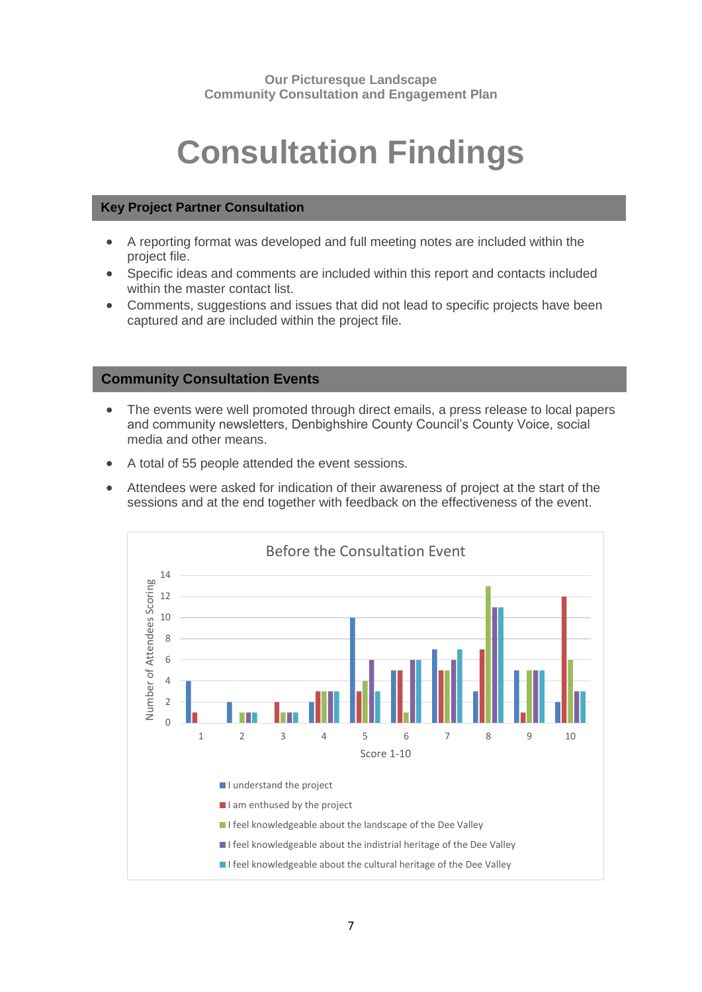# **Consultation Findings**

#### **Key Project Partner Consultation**

- A reporting format was developed and full meeting notes are included within the project file.
- Specific ideas and comments are included within this report and contacts included within the master contact list.
- Comments, suggestions and issues that did not lead to specific projects have been captured and are included within the project file.

#### **Community Consultation Events**

- The events were well promoted through direct emails, a press release to local papers and community newsletters, Denbighshire County Council's County Voice, social media and other means.
- A total of 55 people attended the event sessions.
- Attendees were asked for indication of their awareness of project at the start of the sessions and at the end together with feedback on the effectiveness of the event.

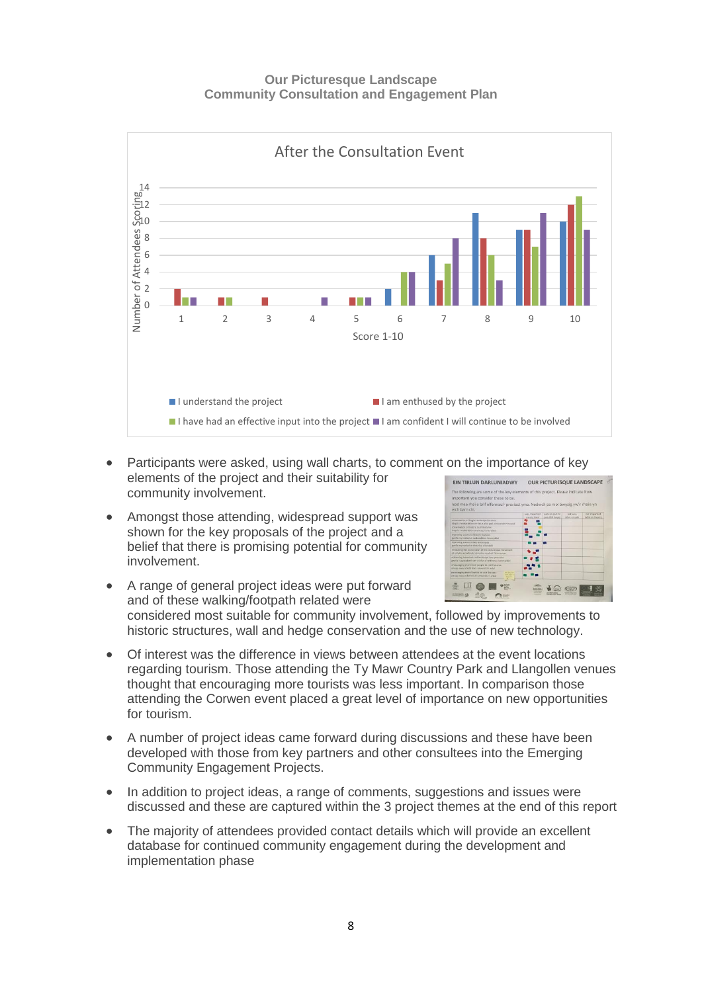

- Participants were asked, using wall charts, to comment on the importance of key elements of the project and their suitability for community involvement.
- Amongst those attending, widespread support was shown for the key proposals of the project and a belief that there is promising potential for community involvement.



- A range of general project ideas were put forward and of these walking/footpath related were considered most suitable for community involvement, followed by improvements to historic structures, wall and hedge conservation and the use of new technology.
- Of interest was the difference in views between attendees at the event locations regarding tourism. Those attending the Ty Mawr Country Park and Llangollen venues thought that encouraging more tourists was less important. In comparison those attending the Corwen event placed a great level of importance on new opportunities for tourism.
- A number of project ideas came forward during discussions and these have been developed with those from key partners and other consultees into the Emerging Community Engagement Projects.
- In addition to project ideas, a range of comments, suggestions and issues were discussed and these are captured within the 3 project themes at the end of this report
- The majority of attendees provided contact details which will provide an excellent database for continued community engagement during the development and implementation phase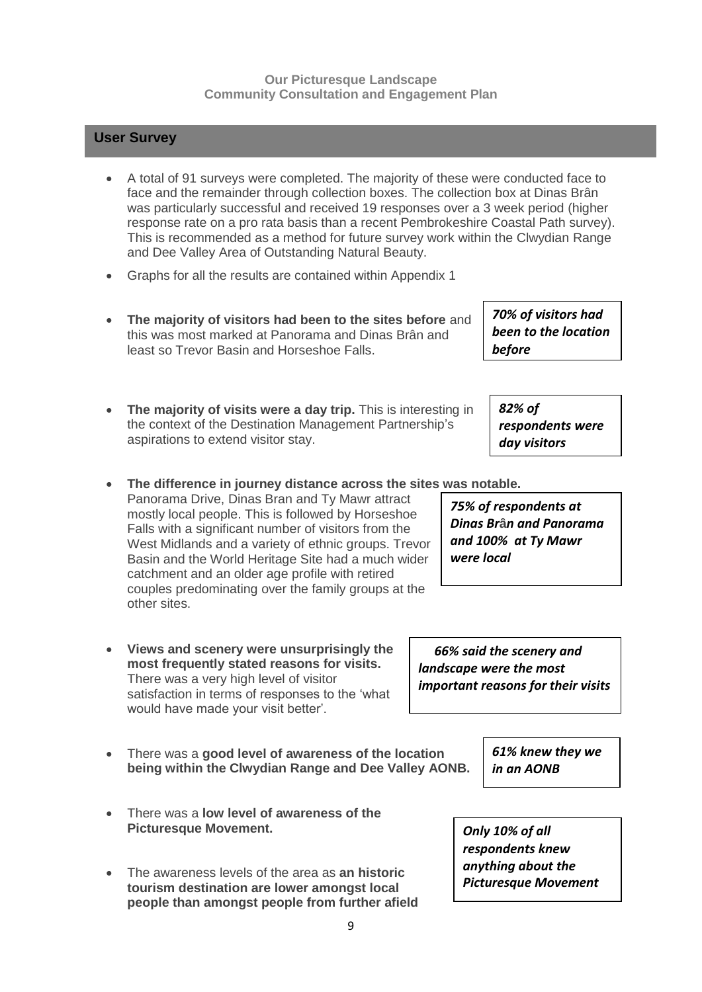### **User Survey**

- A total of 91 surveys were completed. The majority of these were conducted face to face and the remainder through collection boxes. The collection box at Dinas Brân was particularly successful and received 19 responses over a 3 week period (higher response rate on a pro rata basis than a recent Pembrokeshire Coastal Path survey). This is recommended as a method for future survey work within the Clwydian Range and Dee Valley Area of Outstanding Natural Beauty.
- Graphs for all the results are contained within Appendix 1
- **The majority of visitors had been to the sites before** and this was most marked at Panorama and Dinas Brân and least so Trevor Basin and Horseshoe Falls.
- **The majority of visits were a day trip.** This is interesting in the context of the Destination Management Partnership's aspirations to extend visitor stay.
- **The difference in journey distance across the sites was notable.**

Panorama Drive, Dinas Bran and Ty Mawr attract mostly local people. This is followed by Horseshoe Falls with a significant number of visitors from the West Midlands and a variety of ethnic groups. Trevor Basin and the World Heritage Site had a much wider catchment and an older age profile with retired couples predominating over the family groups at the other sites.

- **Views and scenery were unsurprisingly the most frequently stated reasons for visits.** There was a very high level of visitor satisfaction in terms of responses to the 'what would have made your visit better'.
- There was a **good level of awareness of the location being within the Clwydian Range and Dee Valley AONB.**
- There was a **low level of awareness of the Picturesque Movement.**
- The awareness levels of the area as **an historic tourism destination are lower amongst local people than amongst people from further afield**

*75% of respondents at Dinas Br***â***n and Panorama and 100% at Ty Mawr were local*

 *66% said the scenery and landscape were the most important reasons for their visits*

> *Only 10% of all respondents knew anything about the Picturesque Movement*

*in an AONB*

*61% knew they we* 

*70% of visitors had been to the location before*

*82% of* 

*respondents were day visitors*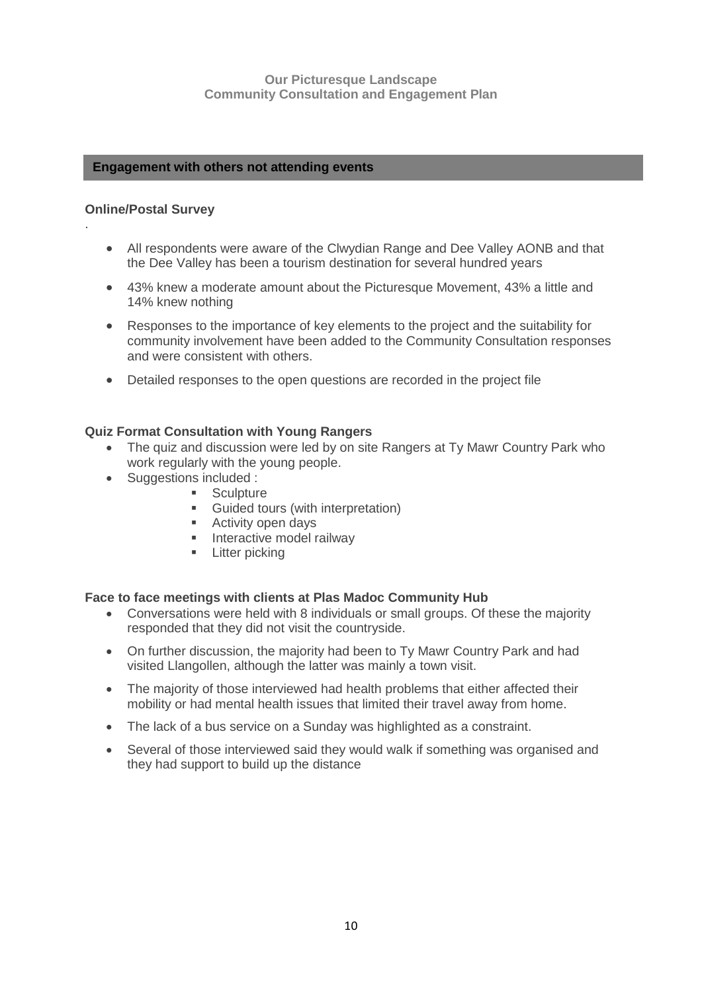#### **Engagement with others not attending events**

#### **Online/Postal Survey**

.

- All respondents were aware of the Clwydian Range and Dee Valley AONB and that the Dee Valley has been a tourism destination for several hundred years
- 43% knew a moderate amount about the Picturesque Movement, 43% a little and 14% knew nothing
- Responses to the importance of key elements to the project and the suitability for community involvement have been added to the Community Consultation responses and were consistent with others.
- Detailed responses to the open questions are recorded in the project file

#### **Quiz Format Consultation with Young Rangers**

- The quiz and discussion were led by on site Rangers at Ty Mawr Country Park who work regularly with the young people.
- Suggestions included :
	- **Sculpture**
	- **Guided tours (with interpretation)**
	- **Activity open days**
	- **Interactive model railway**
	- **Exercise Litter picking**

#### **Face to face meetings with clients at Plas Madoc Community Hub**

- Conversations were held with 8 individuals or small groups. Of these the majority responded that they did not visit the countryside.
- On further discussion, the majority had been to Ty Mawr Country Park and had visited Llangollen, although the latter was mainly a town visit.
- The majority of those interviewed had health problems that either affected their mobility or had mental health issues that limited their travel away from home.
- The lack of a bus service on a Sunday was highlighted as a constraint.
- Several of those interviewed said they would walk if something was organised and they had support to build up the distance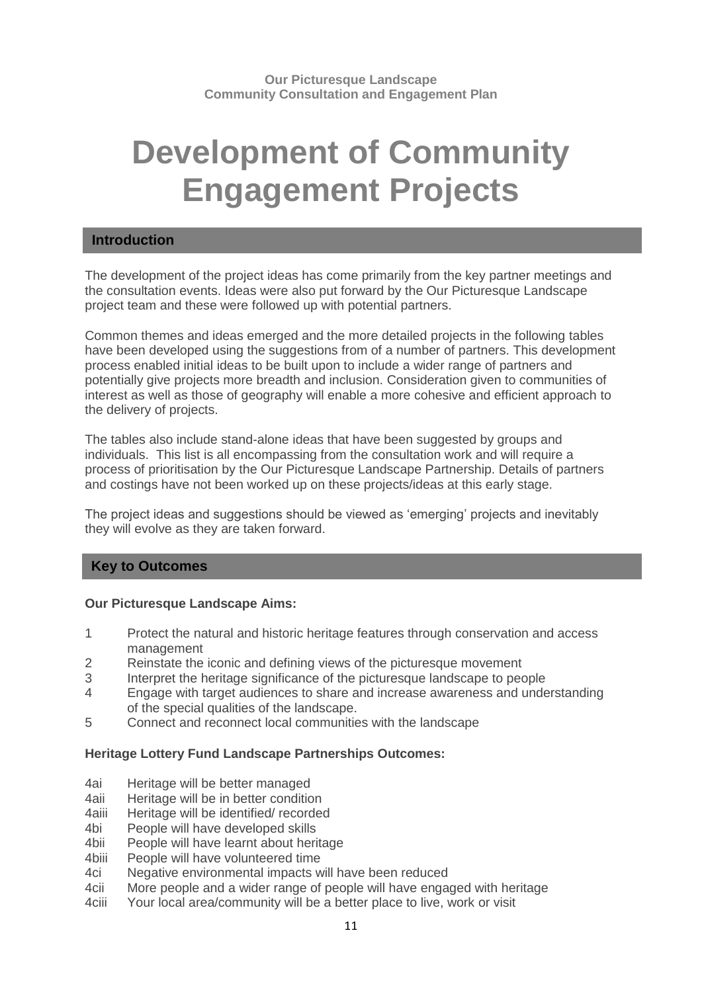## **Development of Community Engagement Projects**

#### **Introduction**

The development of the project ideas has come primarily from the key partner meetings and the consultation events. Ideas were also put forward by the Our Picturesque Landscape project team and these were followed up with potential partners.

Common themes and ideas emerged and the more detailed projects in the following tables have been developed using the suggestions from of a number of partners. This development process enabled initial ideas to be built upon to include a wider range of partners and potentially give projects more breadth and inclusion. Consideration given to communities of interest as well as those of geography will enable a more cohesive and efficient approach to the delivery of projects.

The tables also include stand-alone ideas that have been suggested by groups and individuals. This list is all encompassing from the consultation work and will require a process of prioritisation by the Our Picturesque Landscape Partnership. Details of partners and costings have not been worked up on these projects/ideas at this early stage.

The project ideas and suggestions should be viewed as 'emerging' projects and inevitably they will evolve as they are taken forward.

#### **Key to Outcomes**

#### **Our Picturesque Landscape Aims:**

- 1 Protect the natural and historic heritage features through conservation and access management
- 2 Reinstate the iconic and defining views of the picturesque movement
- 3 Interpret the heritage significance of the picturesque landscape to people
- 4 Engage with target audiences to share and increase awareness and understanding of the special qualities of the landscape.
- 5 Connect and reconnect local communities with the landscape

#### **Heritage Lottery Fund Landscape Partnerships Outcomes:**

- 4ai Heritage will be better managed
- 4aii Heritage will be in better condition
- 4aiii Heritage will be identified/ recorded
- 4bi People will have developed skills
- 4bii People will have learnt about heritage
- 4biii People will have volunteered time
- 4ci Negative environmental impacts will have been reduced
- 4cii More people and a wider range of people will have engaged with heritage
- 4ciii Your local area/community will be a better place to live, work or visit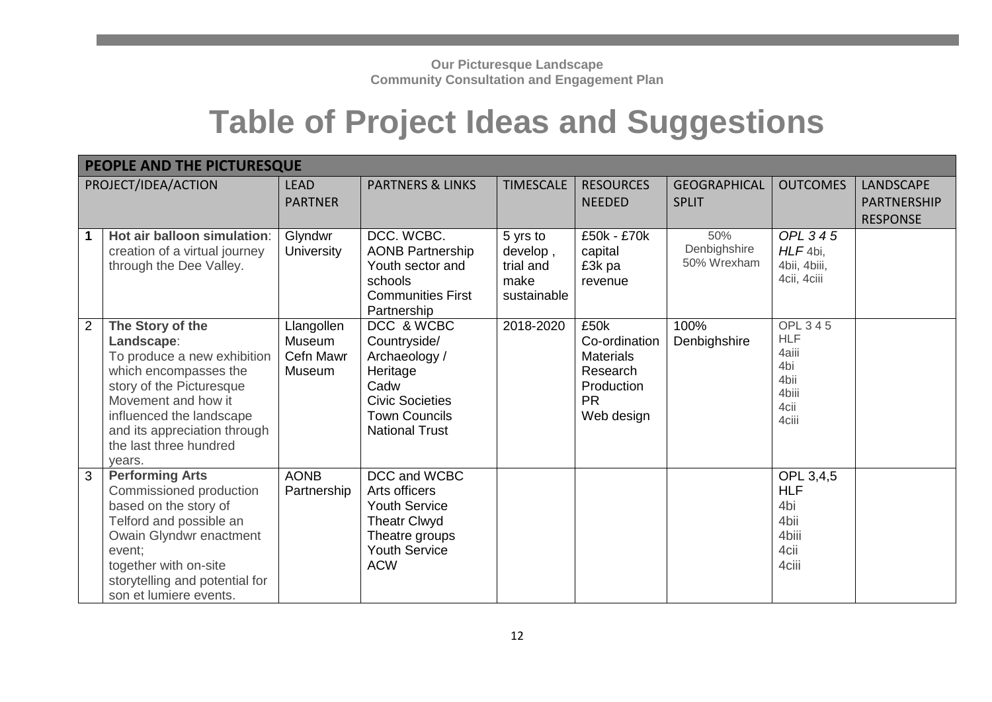## **Table of Project Ideas and Suggestions**

|                | PEOPLE AND THE PICTURESQUE                                                                                                                                                                                                                |                                                    |                                                                                                                                            |                                                          |                                                                                                |                                     |                                                                         |                                                           |  |  |
|----------------|-------------------------------------------------------------------------------------------------------------------------------------------------------------------------------------------------------------------------------------------|----------------------------------------------------|--------------------------------------------------------------------------------------------------------------------------------------------|----------------------------------------------------------|------------------------------------------------------------------------------------------------|-------------------------------------|-------------------------------------------------------------------------|-----------------------------------------------------------|--|--|
|                | PROJECT/IDEA/ACTION                                                                                                                                                                                                                       | <b>LEAD</b><br><b>PARTNER</b>                      | <b>PARTNERS &amp; LINKS</b>                                                                                                                | <b>TIMESCALE</b>                                         | <b>RESOURCES</b><br><b>NEEDED</b>                                                              | <b>GEOGRAPHICAL</b><br><b>SPLIT</b> | <b>OUTCOMES</b>                                                         | <b>LANDSCAPE</b><br><b>PARTNERSHIP</b><br><b>RESPONSE</b> |  |  |
|                | Hot air balloon simulation:<br>creation of a virtual journey<br>through the Dee Valley.                                                                                                                                                   | Glyndwr<br><b>University</b>                       | DCC. WCBC.<br><b>AONB Partnership</b><br>Youth sector and<br>schools<br><b>Communities First</b><br>Partnership                            | 5 yrs to<br>develop,<br>trial and<br>make<br>sustainable | £50k - £70k<br>capital<br>£3k pa<br>revenue                                                    | 50%<br>Denbighshire<br>50% Wrexham  | OPL 345<br>$HLF 4bi$ ,<br>4bii, 4biii,<br>4cii, 4ciii                   |                                                           |  |  |
| $\overline{2}$ | The Story of the<br>Landscape:<br>To produce a new exhibition<br>which encompasses the<br>story of the Picturesque<br>Movement and how it<br>influenced the landscape<br>and its appreciation through<br>the last three hundred<br>years. | Llangollen<br>Museum<br>Cefn Mawr<br><b>Museum</b> | DCC & WCBC<br>Countryside/<br>Archaeology /<br>Heritage<br>Cadw<br><b>Civic Societies</b><br><b>Town Councils</b><br><b>National Trust</b> | 2018-2020                                                | £50k<br>Co-ordination<br><b>Materials</b><br>Research<br>Production<br><b>PR</b><br>Web design | 100%<br>Denbighshire                | OPL 345<br><b>HLF</b><br>4aiii<br>4bi<br>4bii<br>4biii<br>4cii<br>4ciii |                                                           |  |  |
| 3              | <b>Performing Arts</b><br>Commissioned production<br>based on the story of<br>Telford and possible an<br>Owain Glyndwr enactment<br>event;<br>together with on-site<br>storytelling and potential for<br>son et lumiere events.           | <b>AONB</b><br>Partnership                         | DCC and WCBC<br>Arts officers<br><b>Youth Service</b><br><b>Theatr Clwyd</b><br>Theatre groups<br><b>Youth Service</b><br><b>ACW</b>       |                                                          |                                                                                                |                                     | OPL 3,4,5<br><b>HLF</b><br>4bi<br>4bii<br>4biii<br>4cii<br>4ciii        |                                                           |  |  |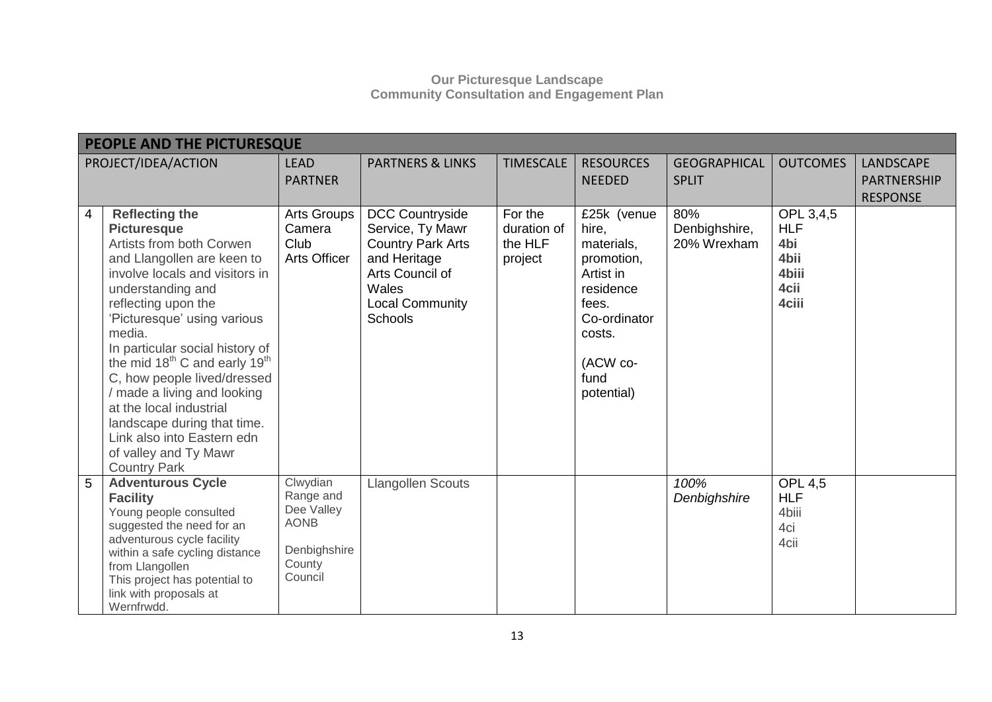|   | PEOPLE AND THE PICTURESQUE                                                                                                                                                                                                                                                                                                                                                                                                                                                                                                     |                                                                                         |                                                                                                                                                                |                                              |                                                                                                                                                 |                                     |                                                                  |                                                    |  |  |  |
|---|--------------------------------------------------------------------------------------------------------------------------------------------------------------------------------------------------------------------------------------------------------------------------------------------------------------------------------------------------------------------------------------------------------------------------------------------------------------------------------------------------------------------------------|-----------------------------------------------------------------------------------------|----------------------------------------------------------------------------------------------------------------------------------------------------------------|----------------------------------------------|-------------------------------------------------------------------------------------------------------------------------------------------------|-------------------------------------|------------------------------------------------------------------|----------------------------------------------------|--|--|--|
|   | PROJECT/IDEA/ACTION                                                                                                                                                                                                                                                                                                                                                                                                                                                                                                            | <b>LEAD</b><br><b>PARTNER</b>                                                           | <b>PARTNERS &amp; LINKS</b>                                                                                                                                    | <b>TIMESCALE</b>                             | <b>RESOURCES</b><br><b>NEEDED</b>                                                                                                               | <b>GEOGRAPHICAL</b><br><b>SPLIT</b> | <b>OUTCOMES</b>                                                  | <b>LANDSCAPE</b><br>PARTNERSHIP<br><b>RESPONSE</b> |  |  |  |
| 4 | <b>Reflecting the</b><br><b>Picturesque</b><br>Artists from both Corwen<br>and Llangollen are keen to<br>involve locals and visitors in<br>understanding and<br>reflecting upon the<br>'Picturesque' using various<br>media.<br>In particular social history of<br>the mid 18 <sup>th</sup> C and early 19 <sup>th</sup><br>C, how people lived/dressed<br>/ made a living and looking<br>at the local industrial<br>landscape during that time.<br>Link also into Eastern edn<br>of valley and Ty Mawr<br><b>Country Park</b> | Arts Groups<br>Camera<br>Club<br><b>Arts Officer</b>                                    | <b>DCC Countryside</b><br>Service, Ty Mawr<br><b>Country Park Arts</b><br>and Heritage<br>Arts Council of<br>Wales<br><b>Local Community</b><br><b>Schools</b> | For the<br>duration of<br>the HLF<br>project | £25k (venue<br>hire,<br>materials,<br>promotion,<br>Artist in<br>residence<br>fees.<br>Co-ordinator<br>costs.<br>(ACW co-<br>fund<br>potential) | 80%<br>Denbighshire,<br>20% Wrexham | OPL 3,4,5<br><b>HLF</b><br>4bi<br>4bii<br>4biii<br>4cii<br>4ciii |                                                    |  |  |  |
| 5 | <b>Adventurous Cycle</b><br><b>Facility</b><br>Young people consulted<br>suggested the need for an<br>adventurous cycle facility<br>within a safe cycling distance<br>from Llangollen<br>This project has potential to<br>link with proposals at<br>Wernfrwdd.                                                                                                                                                                                                                                                                 | Clwydian<br>Range and<br>Dee Valley<br><b>AONB</b><br>Denbighshire<br>County<br>Council | <b>Llangollen Scouts</b>                                                                                                                                       |                                              |                                                                                                                                                 | 100%<br>Denbighshire                | <b>OPL 4.5</b><br><b>HLF</b><br>4biii<br>4ci<br>4cii             |                                                    |  |  |  |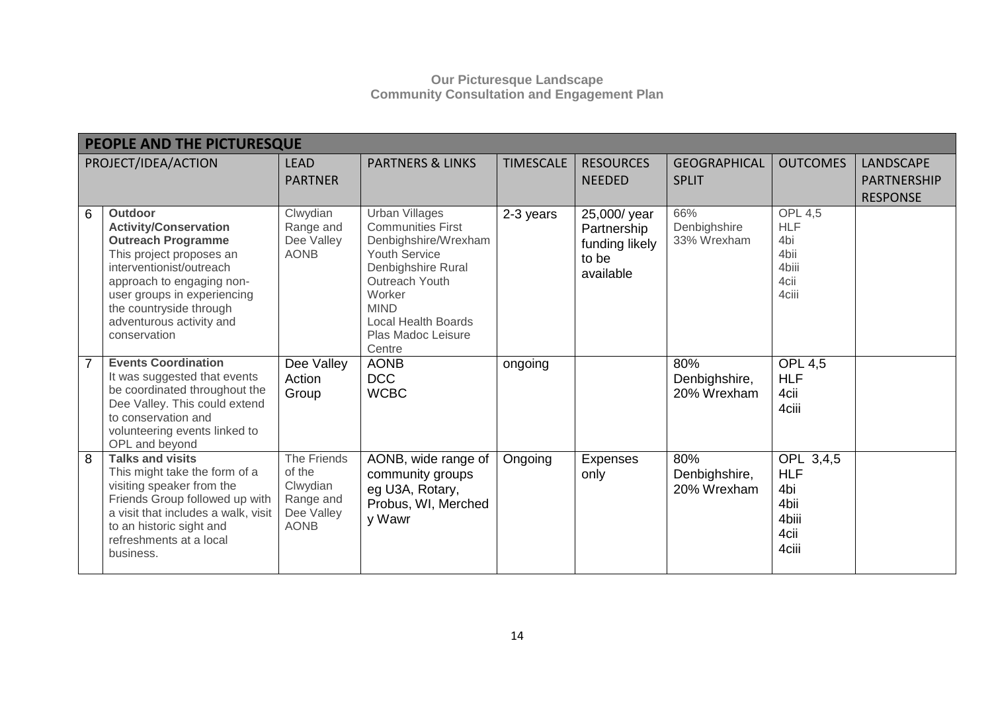|   | PEOPLE AND THE PICTURESQUE                                                                                                                                                                                                                                             |                                                                             |                                                                                                                                                                                                                           |                  |                                                                     |                                     |                                                                       |                                                           |
|---|------------------------------------------------------------------------------------------------------------------------------------------------------------------------------------------------------------------------------------------------------------------------|-----------------------------------------------------------------------------|---------------------------------------------------------------------------------------------------------------------------------------------------------------------------------------------------------------------------|------------------|---------------------------------------------------------------------|-------------------------------------|-----------------------------------------------------------------------|-----------------------------------------------------------|
|   | PROJECT/IDEA/ACTION                                                                                                                                                                                                                                                    | <b>LEAD</b><br><b>PARTNER</b>                                               | <b>PARTNERS &amp; LINKS</b>                                                                                                                                                                                               | <b>TIMESCALE</b> | <b>RESOURCES</b><br><b>NEEDED</b>                                   | <b>GEOGRAPHICAL</b><br><b>SPLIT</b> | <b>OUTCOMES</b>                                                       | <b>LANDSCAPE</b><br><b>PARTNERSHIP</b><br><b>RESPONSE</b> |
| 6 | <b>Outdoor</b><br><b>Activity/Conservation</b><br><b>Outreach Programme</b><br>This project proposes an<br>interventionist/outreach<br>approach to engaging non-<br>user groups in experiencing<br>the countryside through<br>adventurous activity and<br>conservation | Clwydian<br>Range and<br>Dee Valley<br><b>AONB</b>                          | <b>Urban Villages</b><br><b>Communities First</b><br>Denbighshire/Wrexham<br>Youth Service<br>Denbighshire Rural<br>Outreach Youth<br>Worker<br><b>MIND</b><br><b>Local Health Boards</b><br>Plas Madoc Leisure<br>Centre | 2-3 years        | 25,000/ year<br>Partnership<br>funding likely<br>to be<br>available | 66%<br>Denbighshire<br>33% Wrexham  | <b>OPL 4,5</b><br><b>HLF</b><br>4bi<br>4bii<br>4biii<br>4cii<br>4ciii |                                                           |
|   | <b>Events Coordination</b><br>It was suggested that events<br>be coordinated throughout the<br>Dee Valley. This could extend<br>to conservation and<br>volunteering events linked to<br>OPL and beyond                                                                 | Dee Valley<br>Action<br>Group                                               | <b>AONB</b><br><b>DCC</b><br><b>WCBC</b>                                                                                                                                                                                  | ongoing          |                                                                     | 80%<br>Denbighshire,<br>20% Wrexham | <b>OPL 4,5</b><br><b>HLF</b><br>4cii<br>4ciii                         |                                                           |
| 8 | <b>Talks and visits</b><br>This might take the form of a<br>visiting speaker from the<br>Friends Group followed up with<br>a visit that includes a walk, visit<br>to an historic sight and<br>refreshments at a local<br>business.                                     | The Friends<br>of the<br>Clwydian<br>Range and<br>Dee Valley<br><b>AONB</b> | AONB, wide range of<br>community groups<br>eg U3A, Rotary,<br>Probus, WI, Merched<br>y Wawr                                                                                                                               | Ongoing          | Expenses<br>only                                                    | 80%<br>Denbighshire,<br>20% Wrexham | OPL 3,4,5<br><b>HLF</b><br>4bi<br>4bii<br>4biii<br>4cii<br>4ciii      |                                                           |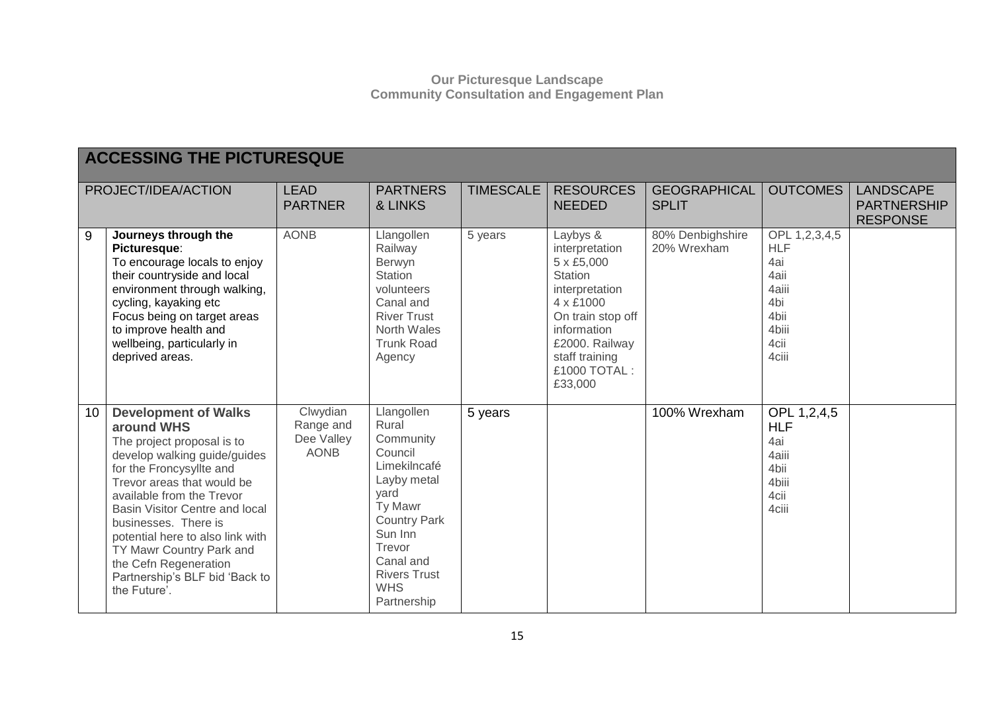|    | <b>ACCESSING THE PICTURESQUE</b>                                                                                                                                                                                                                                                                                                                                                                    |                                                    |                                                                                                                                                                                                            |                  |                                                                                                                                                                                       |                                     |                                                                                              |                                                           |  |
|----|-----------------------------------------------------------------------------------------------------------------------------------------------------------------------------------------------------------------------------------------------------------------------------------------------------------------------------------------------------------------------------------------------------|----------------------------------------------------|------------------------------------------------------------------------------------------------------------------------------------------------------------------------------------------------------------|------------------|---------------------------------------------------------------------------------------------------------------------------------------------------------------------------------------|-------------------------------------|----------------------------------------------------------------------------------------------|-----------------------------------------------------------|--|
|    | PROJECT/IDEA/ACTION                                                                                                                                                                                                                                                                                                                                                                                 | <b>LEAD</b><br><b>PARTNER</b>                      | <b>PARTNERS</b><br>& LINKS                                                                                                                                                                                 | <b>TIMESCALE</b> | <b>RESOURCES</b><br><b>NEEDED</b>                                                                                                                                                     | <b>GEOGRAPHICAL</b><br><b>SPLIT</b> | <b>OUTCOMES</b>                                                                              | <b>LANDSCAPE</b><br><b>PARTNERSHIP</b><br><b>RESPONSE</b> |  |
| 9  | Journeys through the<br>Picturesque:<br>To encourage locals to enjoy<br>their countryside and local<br>environment through walking,<br>cycling, kayaking etc<br>Focus being on target areas<br>to improve health and<br>wellbeing, particularly in<br>deprived areas.                                                                                                                               | <b>AONB</b>                                        | Llangollen<br>Railway<br>Berwyn<br><b>Station</b><br>volunteers<br>Canal and<br><b>River Trust</b><br>North Wales<br><b>Trunk Road</b><br>Agency                                                           | 5 years          | Laybys &<br>interpretation<br>5 x £5,000<br>Station<br>interpretation<br>4 x £1000<br>On train stop off<br>information<br>£2000. Railway<br>staff training<br>£1000 TOTAL:<br>£33,000 | 80% Denbighshire<br>20% Wrexham     | OPL 1,2,3,4,5<br><b>HLF</b><br>4ai<br>4aii<br>4aiii<br>4bi<br>4bii<br>4biii<br>4cii<br>4ciii |                                                           |  |
| 10 | <b>Development of Walks</b><br>around WHS<br>The project proposal is to<br>develop walking guide/guides<br>for the Froncysyllte and<br>Trevor areas that would be<br>available from the Trevor<br>Basin Visitor Centre and local<br>businesses. There is<br>potential here to also link with<br>TY Mawr Country Park and<br>the Cefn Regeneration<br>Partnership's BLF bid 'Back to<br>the Future'. | Clwydian<br>Range and<br>Dee Valley<br><b>AONB</b> | Llangollen<br>Rural<br>Community<br>Council<br>Limekilncafé<br>Layby metal<br>yard<br>Ty Mawr<br><b>Country Park</b><br>Sun Inn<br>Trevor<br>Canal and<br><b>Rivers Trust</b><br><b>WHS</b><br>Partnership | 5 years          |                                                                                                                                                                                       | 100% Wrexham                        | OPL 1,2,4,5<br><b>HLF</b><br>4ai<br>4aiii<br>4bii<br>4biii<br>4cii<br>4ciii                  |                                                           |  |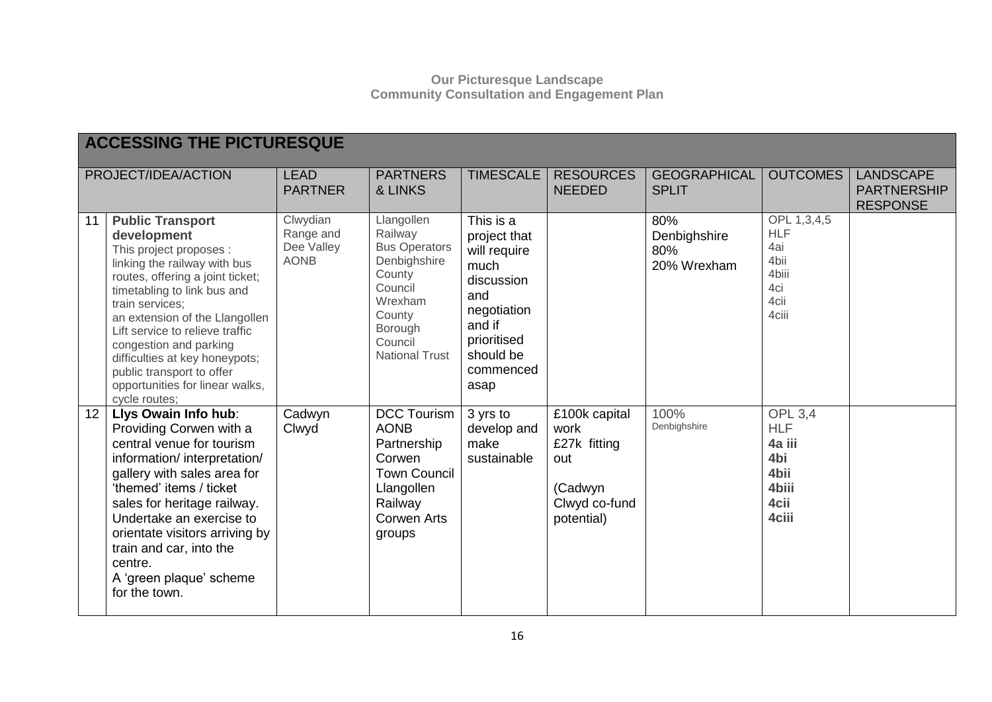|    | <b>ACCESSING THE PICTURESQUE</b>                                                                                                                                                                                                                                                                                                                                                                          |                                                    |                                                                                                                                                        |                                                                                                                                                  |                                                                                        |                                           |                                                                                 |                                                           |  |
|----|-----------------------------------------------------------------------------------------------------------------------------------------------------------------------------------------------------------------------------------------------------------------------------------------------------------------------------------------------------------------------------------------------------------|----------------------------------------------------|--------------------------------------------------------------------------------------------------------------------------------------------------------|--------------------------------------------------------------------------------------------------------------------------------------------------|----------------------------------------------------------------------------------------|-------------------------------------------|---------------------------------------------------------------------------------|-----------------------------------------------------------|--|
|    | PROJECT/IDEA/ACTION                                                                                                                                                                                                                                                                                                                                                                                       | <b>LEAD</b><br><b>PARTNER</b>                      | <b>PARTNERS</b><br>& LINKS                                                                                                                             | <b>TIMESCALE</b>                                                                                                                                 | <b>RESOURCES</b><br><b>NEEDED</b>                                                      | <b>GEOGRAPHICAL</b><br><b>SPLIT</b>       | <b>OUTCOMES</b>                                                                 | <b>LANDSCAPE</b><br><b>PARTNERSHIP</b><br><b>RESPONSE</b> |  |
| 11 | <b>Public Transport</b><br>development<br>This project proposes :<br>linking the railway with bus<br>routes, offering a joint ticket;<br>timetabling to link bus and<br>train services;<br>an extension of the Llangollen<br>Lift service to relieve traffic<br>congestion and parking<br>difficulties at key honeypots;<br>public transport to offer<br>opportunities for linear walks,<br>cycle routes; | Clwydian<br>Range and<br>Dee Valley<br><b>AONB</b> | Llangollen<br>Railway<br><b>Bus Operators</b><br>Denbighshire<br>County<br>Council<br>Wrexham<br>County<br>Borough<br>Council<br><b>National Trust</b> | This is a<br>project that<br>will require<br>much<br>discussion<br>and<br>negotiation<br>and if<br>prioritised<br>should be<br>commenced<br>asap |                                                                                        | 80%<br>Denbighshire<br>80%<br>20% Wrexham | OPL $1,3,4,5$<br><b>HLF</b><br>4ai<br>4bii<br>4biii<br>4ci<br>4cii<br>4ciii     |                                                           |  |
| 12 | Llys Owain Info hub:<br>Providing Corwen with a<br>central venue for tourism<br>information/interpretation/<br>gallery with sales area for<br>'themed' items / ticket<br>sales for heritage railway.<br>Undertake an exercise to<br>orientate visitors arriving by<br>train and car, into the<br>centre.<br>A 'green plaque' scheme<br>for the town.                                                      | Cadwyn<br>Clwyd                                    | <b>DCC Tourism</b><br><b>AONB</b><br>Partnership<br>Corwen<br><b>Town Council</b><br>Llangollen<br>Railway<br><b>Corwen Arts</b><br>groups             | 3 yrs to<br>develop and<br>make<br>sustainable                                                                                                   | £100k capital<br>work<br>£27k fitting<br>out<br>(Cadwyn<br>Clwyd co-fund<br>potential) | 100%<br>Denbighshire                      | <b>OPL 3,4</b><br><b>HLF</b><br>4a iii<br>4bi<br>4bii<br>4biii<br>4cii<br>4ciii |                                                           |  |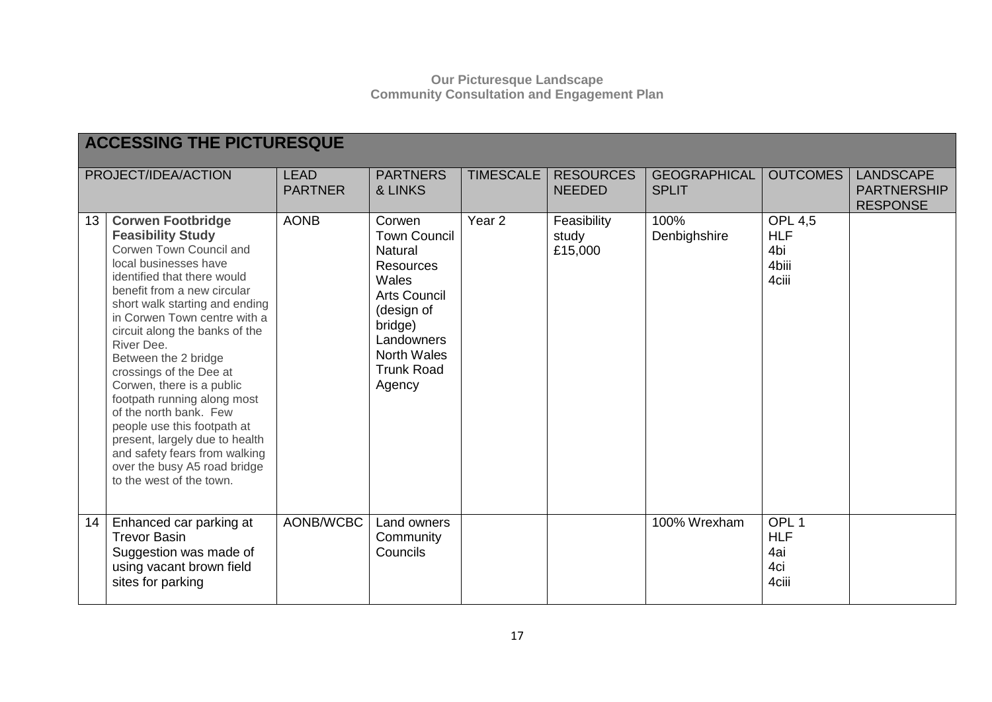|    | <b>ACCESSING THE PICTURESQUE</b>                                                                                                                                                                                                                                                                                                                                                                                                                                                                                                                                                                |                               |                                                                                                                                                                                          |                   |                                   |                                     |                                                       |                                                           |  |  |
|----|-------------------------------------------------------------------------------------------------------------------------------------------------------------------------------------------------------------------------------------------------------------------------------------------------------------------------------------------------------------------------------------------------------------------------------------------------------------------------------------------------------------------------------------------------------------------------------------------------|-------------------------------|------------------------------------------------------------------------------------------------------------------------------------------------------------------------------------------|-------------------|-----------------------------------|-------------------------------------|-------------------------------------------------------|-----------------------------------------------------------|--|--|
|    | PROJECT/IDEA/ACTION                                                                                                                                                                                                                                                                                                                                                                                                                                                                                                                                                                             | <b>LEAD</b><br><b>PARTNER</b> | <b>PARTNERS</b><br>& LINKS                                                                                                                                                               | <b>TIMESCALE</b>  | <b>RESOURCES</b><br><b>NEEDED</b> | <b>GEOGRAPHICAL</b><br><b>SPLIT</b> | <b>OUTCOMES</b>                                       | <b>LANDSCAPE</b><br><b>PARTNERSHIP</b><br><b>RESPONSE</b> |  |  |
| 13 | <b>Corwen Footbridge</b><br><b>Feasibility Study</b><br>Corwen Town Council and<br>local businesses have<br>identified that there would<br>benefit from a new circular<br>short walk starting and ending<br>in Corwen Town centre with a<br>circuit along the banks of the<br>River Dee.<br>Between the 2 bridge<br>crossings of the Dee at<br>Corwen, there is a public<br>footpath running along most<br>of the north bank. Few<br>people use this footpath at<br>present, largely due to health<br>and safety fears from walking<br>over the busy A5 road bridge<br>to the west of the town. | <b>AONB</b>                   | Corwen<br><b>Town Council</b><br>Natural<br><b>Resources</b><br>Wales<br><b>Arts Council</b><br>(design of<br>bridge)<br>Landowners<br><b>North Wales</b><br><b>Trunk Road</b><br>Agency | Year <sub>2</sub> | Feasibility<br>study<br>£15,000   | 100%<br>Denbighshire                | <b>OPL 4,5</b><br><b>HLF</b><br>4bi<br>4biii<br>4ciii |                                                           |  |  |
| 14 | Enhanced car parking at<br><b>Trevor Basin</b><br>Suggestion was made of<br>using vacant brown field<br>sites for parking                                                                                                                                                                                                                                                                                                                                                                                                                                                                       | AONB/WCBC                     | Land owners<br>Community<br>Councils                                                                                                                                                     |                   |                                   | 100% Wrexham                        | OPL <sub>1</sub><br><b>HLF</b><br>4ai<br>4ci<br>4ciii |                                                           |  |  |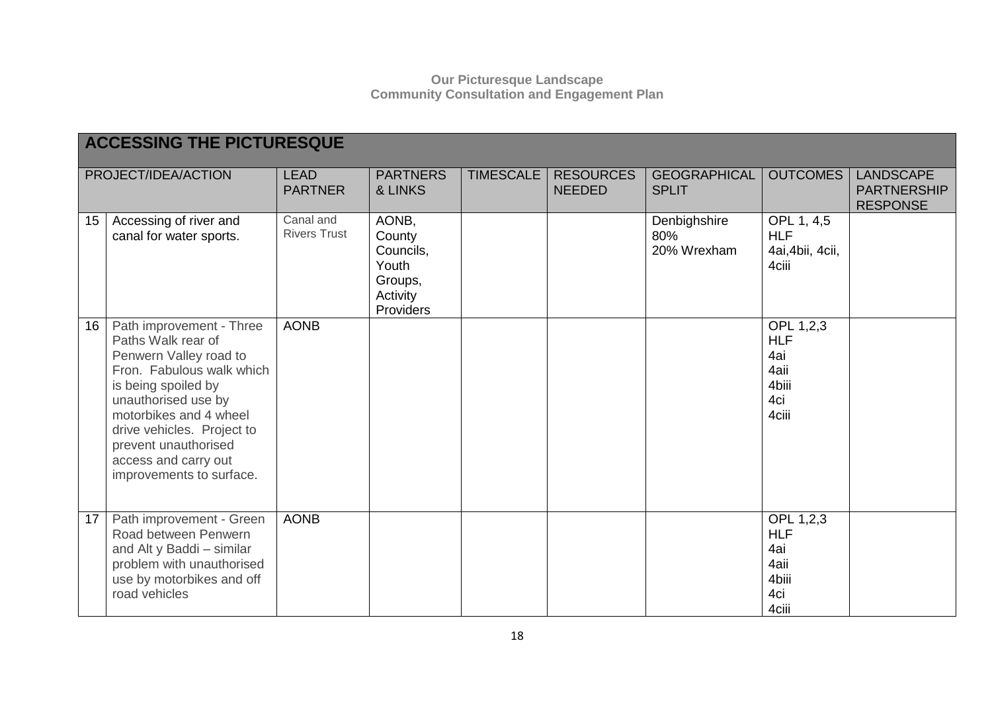|    | <b>ACCESSING THE PICTURESQUE</b>                                                                                                                                                                                                                                                        |                                  |                                                                           |                  |                                   |                                     |                                                                 |                                                           |  |
|----|-----------------------------------------------------------------------------------------------------------------------------------------------------------------------------------------------------------------------------------------------------------------------------------------|----------------------------------|---------------------------------------------------------------------------|------------------|-----------------------------------|-------------------------------------|-----------------------------------------------------------------|-----------------------------------------------------------|--|
|    | PROJECT/IDEA/ACTION                                                                                                                                                                                                                                                                     | <b>LEAD</b><br><b>PARTNER</b>    | <b>PARTNERS</b><br>& LINKS                                                | <b>TIMESCALE</b> | <b>RESOURCES</b><br><b>NEEDED</b> | <b>GEOGRAPHICAL</b><br><b>SPLIT</b> | <b>OUTCOMES</b>                                                 | <b>LANDSCAPE</b><br><b>PARTNERSHIP</b><br><b>RESPONSE</b> |  |
| 15 | Accessing of river and<br>canal for water sports.                                                                                                                                                                                                                                       | Canal and<br><b>Rivers Trust</b> | AONB,<br>County<br>Councils,<br>Youth<br>Groups,<br>Activity<br>Providers |                  |                                   | Denbighshire<br>80%<br>20% Wrexham  | OPL 1, 4,5<br><b>HLF</b><br>4ai, 4bii, 4cii,<br>4ciii           |                                                           |  |
| 16 | Path improvement - Three<br>Paths Walk rear of<br>Penwern Valley road to<br>Fron. Fabulous walk which<br>is being spoiled by<br>unauthorised use by<br>motorbikes and 4 wheel<br>drive vehicles. Project to<br>prevent unauthorised<br>access and carry out<br>improvements to surface. | <b>AONB</b>                      |                                                                           |                  |                                   |                                     | OPL 1,2,3<br><b>HLF</b><br>4ai<br>4aii<br>4biii<br>4ci<br>4ciii |                                                           |  |
| 17 | Path improvement - Green<br>Road between Penwern<br>and Alt y Baddi - similar<br>problem with unauthorised<br>use by motorbikes and off<br>road vehicles                                                                                                                                | <b>AONB</b>                      |                                                                           |                  |                                   |                                     | OPL 1,2,3<br><b>HLF</b><br>4ai<br>4aii<br>4biii<br>4ci<br>4ciii |                                                           |  |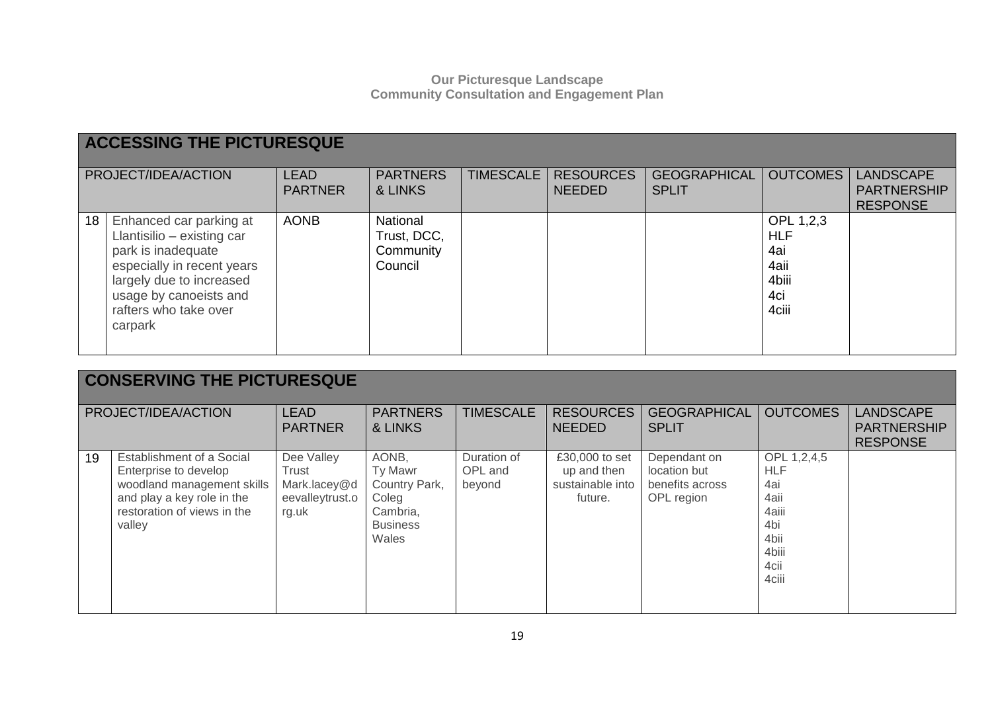|    | <b>ACCESSING THE PICTURESQUE</b>                                                                                                                                                                    |                               |                                                 |           |                                   |                                     |                                                                 |                                                           |  |  |
|----|-----------------------------------------------------------------------------------------------------------------------------------------------------------------------------------------------------|-------------------------------|-------------------------------------------------|-----------|-----------------------------------|-------------------------------------|-----------------------------------------------------------------|-----------------------------------------------------------|--|--|
|    | PROJECT/IDEA/ACTION                                                                                                                                                                                 | <b>LEAD</b><br><b>PARTNER</b> | <b>PARTNERS</b><br>& LINKS                      | TIMESCALE | <b>RESOURCES</b><br><b>NEEDED</b> | <b>GEOGRAPHICAL</b><br><b>SPLIT</b> | <b>OUTCOMES</b>                                                 | <b>LANDSCAPE</b><br><b>PARTNERSHIP</b><br><b>RESPONSE</b> |  |  |
| 18 | Enhanced car parking at<br>Llantisilio - existing car<br>park is inadequate<br>especially in recent years<br>largely due to increased<br>usage by canoeists and<br>rafters who take over<br>carpark | <b>AONB</b>                   | National<br>Trust, DCC,<br>Community<br>Council |           |                                   |                                     | OPL 1,2,3<br><b>HLF</b><br>4ai<br>4aii<br>4biii<br>4ci<br>4ciii |                                                           |  |  |

|    | <b>CONSERVING THE PICTURESQUE</b>                                                                                                                       |                                                                 |                                                                                    |                                  |                                                              |                                                               |                                                                                            |                                                           |  |  |  |
|----|---------------------------------------------------------------------------------------------------------------------------------------------------------|-----------------------------------------------------------------|------------------------------------------------------------------------------------|----------------------------------|--------------------------------------------------------------|---------------------------------------------------------------|--------------------------------------------------------------------------------------------|-----------------------------------------------------------|--|--|--|
|    | PROJECT/IDEA/ACTION                                                                                                                                     | <b>LEAD</b><br><b>PARTNER</b>                                   | <b>PARTNERS</b><br>& LINKS                                                         | <b>TIMESCALE</b>                 | <b>RESOURCES</b><br><b>NEEDED</b>                            | <b>GEOGRAPHICAL</b><br><b>SPLIT</b>                           | <b>OUTCOMES</b>                                                                            | <b>LANDSCAPE</b><br><b>PARTNERSHIP</b><br><b>RESPONSE</b> |  |  |  |
| 19 | Establishment of a Social<br>Enterprise to develop<br>woodland management skills<br>and play a key role in the<br>restoration of views in the<br>valley | Dee Valley<br>Trust<br>Mark.lacey@d<br>eevalleytrust.o<br>rg.uk | AONB,<br>Ty Mawr<br>Country Park,<br>Coleg<br>Cambria,<br><b>Business</b><br>Wales | Duration of<br>OPL and<br>beyond | £30,000 to set<br>up and then<br>sustainable into<br>future. | Dependant on<br>location but<br>benefits across<br>OPL region | OPL 1,2,4,5<br><b>HLF</b><br>4ai<br>4aii<br>4aiii<br>4bi<br>4bii<br>4biii<br>4cii<br>4ciii |                                                           |  |  |  |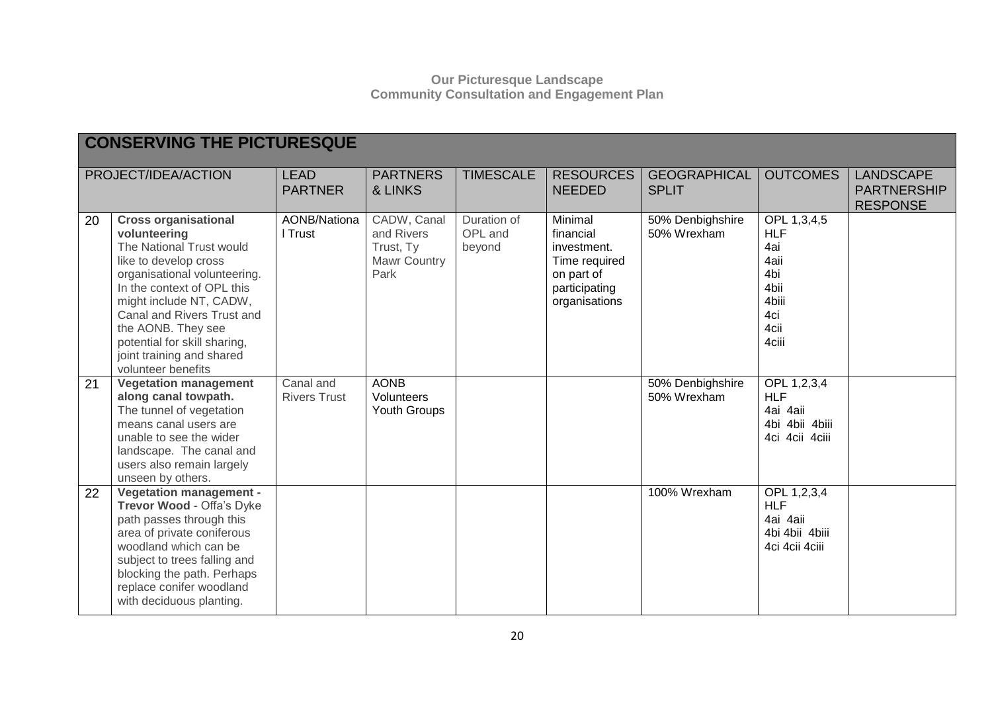|    | <b>CONSERVING THE PICTURESQUE</b>                                                                                                                                                                                                                                                                                                |                                  |                                                                       |                                  |                                                                                                      |                                     |                                                                                          |                                                           |
|----|----------------------------------------------------------------------------------------------------------------------------------------------------------------------------------------------------------------------------------------------------------------------------------------------------------------------------------|----------------------------------|-----------------------------------------------------------------------|----------------------------------|------------------------------------------------------------------------------------------------------|-------------------------------------|------------------------------------------------------------------------------------------|-----------------------------------------------------------|
|    | PROJECT/IDEA/ACTION                                                                                                                                                                                                                                                                                                              | <b>LEAD</b><br><b>PARTNER</b>    | <b>PARTNERS</b><br>& LINKS                                            | <b>TIMESCALE</b>                 | <b>RESOURCES</b><br><b>NEEDED</b>                                                                    | <b>GEOGRAPHICAL</b><br><b>SPLIT</b> | <b>OUTCOMES</b>                                                                          | <b>LANDSCAPE</b><br><b>PARTNERSHIP</b><br><b>RESPONSE</b> |
| 20 | <b>Cross organisational</b><br>volunteering<br>The National Trust would<br>like to develop cross<br>organisational volunteering.<br>In the context of OPL this<br>might include NT, CADW,<br>Canal and Rivers Trust and<br>the AONB. They see<br>potential for skill sharing,<br>joint training and shared<br>volunteer benefits | <b>AONB/Nationa</b><br>I Trust   | CADW, Canal<br>and Rivers<br>Trust, Ty<br><b>Mawr Country</b><br>Park | Duration of<br>OPL and<br>beyond | Minimal<br>financial<br>investment.<br>Time required<br>on part of<br>participating<br>organisations | 50% Denbighshire<br>50% Wrexham     | OPL 1,3,4,5<br><b>HLF</b><br>4ai<br>4aii<br>4bi<br>4bii<br>4biii<br>4ci<br>4cii<br>4ciii |                                                           |
| 21 | <b>Vegetation management</b><br>along canal towpath.<br>The tunnel of vegetation<br>means canal users are<br>unable to see the wider<br>landscape. The canal and<br>users also remain largely<br>unseen by others.                                                                                                               | Canal and<br><b>Rivers Trust</b> | <b>AONB</b><br>Volunteers<br>Youth Groups                             |                                  |                                                                                                      | 50% Denbighshire<br>50% Wrexham     | OPL 1,2,3,4<br><b>HLF</b><br>4ai 4aii<br>4bi 4bii 4biii<br>4ci 4cii 4ciii                |                                                           |
| 22 | <b>Vegetation management -</b><br>Trevor Wood - Offa's Dyke<br>path passes through this<br>area of private coniferous<br>woodland which can be<br>subject to trees falling and<br>blocking the path. Perhaps<br>replace conifer woodland<br>with deciduous planting.                                                             |                                  |                                                                       |                                  |                                                                                                      | 100% Wrexham                        | OPL 1,2,3,4<br><b>HLF</b><br>4ai 4aii<br>4bi 4bii 4biii<br>4ci 4cii 4ciii                |                                                           |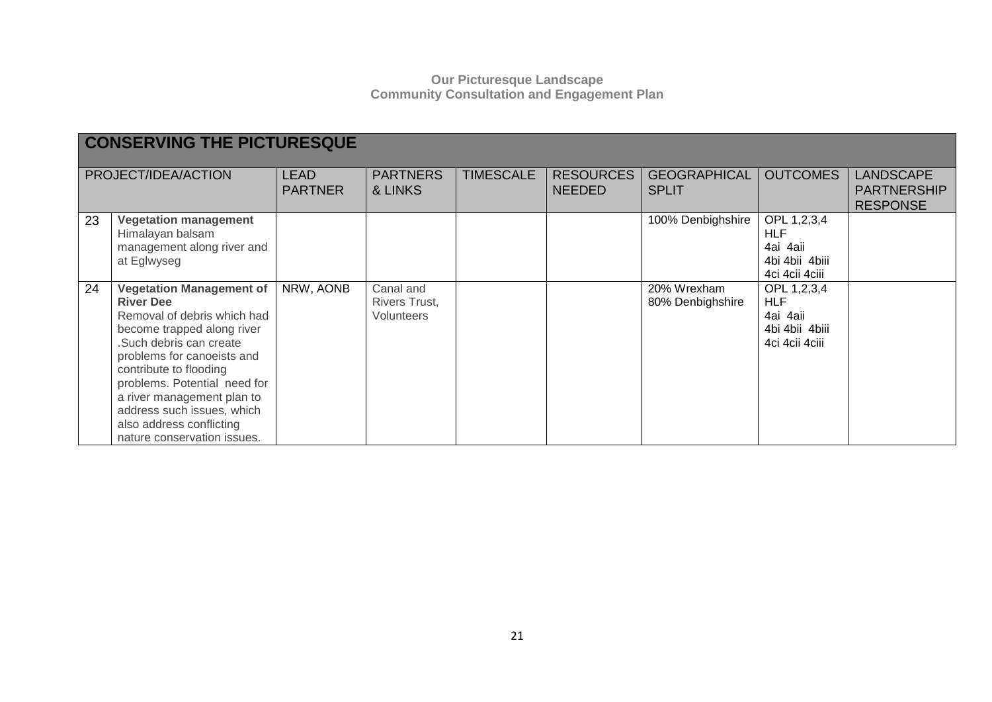|    | <b>CONSERVING THE PICTURESQUE</b>                                                                                                                                                                                                                                                                                                                         |                               |                                                 |                  |                                   |                                     |                                                                           |                                                           |  |  |
|----|-----------------------------------------------------------------------------------------------------------------------------------------------------------------------------------------------------------------------------------------------------------------------------------------------------------------------------------------------------------|-------------------------------|-------------------------------------------------|------------------|-----------------------------------|-------------------------------------|---------------------------------------------------------------------------|-----------------------------------------------------------|--|--|
|    | PROJECT/IDEA/ACTION                                                                                                                                                                                                                                                                                                                                       | <b>LEAD</b><br><b>PARTNER</b> | <b>PARTNERS</b><br>& LINKS                      | <b>TIMESCALE</b> | <b>RESOURCES</b><br><b>NEEDED</b> | <b>GEOGRAPHICAL</b><br><b>SPLIT</b> | <b>OUTCOMES</b>                                                           | <b>LANDSCAPE</b><br><b>PARTNERSHIP</b><br><b>RESPONSE</b> |  |  |
| 23 | <b>Vegetation management</b><br>Himalayan balsam<br>management along river and<br>at Eglwyseg                                                                                                                                                                                                                                                             |                               |                                                 |                  |                                   | 100% Denbighshire                   | OPL 1,2,3,4<br><b>HLF</b><br>4ai 4aii<br>4bi 4bii 4biii<br>4ci 4cii 4ciii |                                                           |  |  |
| 24 | <b>Vegetation Management of</b><br><b>River Dee</b><br>Removal of debris which had<br>become trapped along river<br>Such debris can create<br>problems for canoeists and<br>contribute to flooding<br>problems. Potential need for<br>a river management plan to<br>address such issues, which<br>also address conflicting<br>nature conservation issues. | NRW, AONB                     | Canal and<br>Rivers Trust,<br><b>Volunteers</b> |                  |                                   | 20% Wrexham<br>80% Denbighshire     | OPL 1,2,3,4<br><b>HLF</b><br>4ai 4aii<br>4bi 4bii 4biii<br>4ci 4cii 4ciii |                                                           |  |  |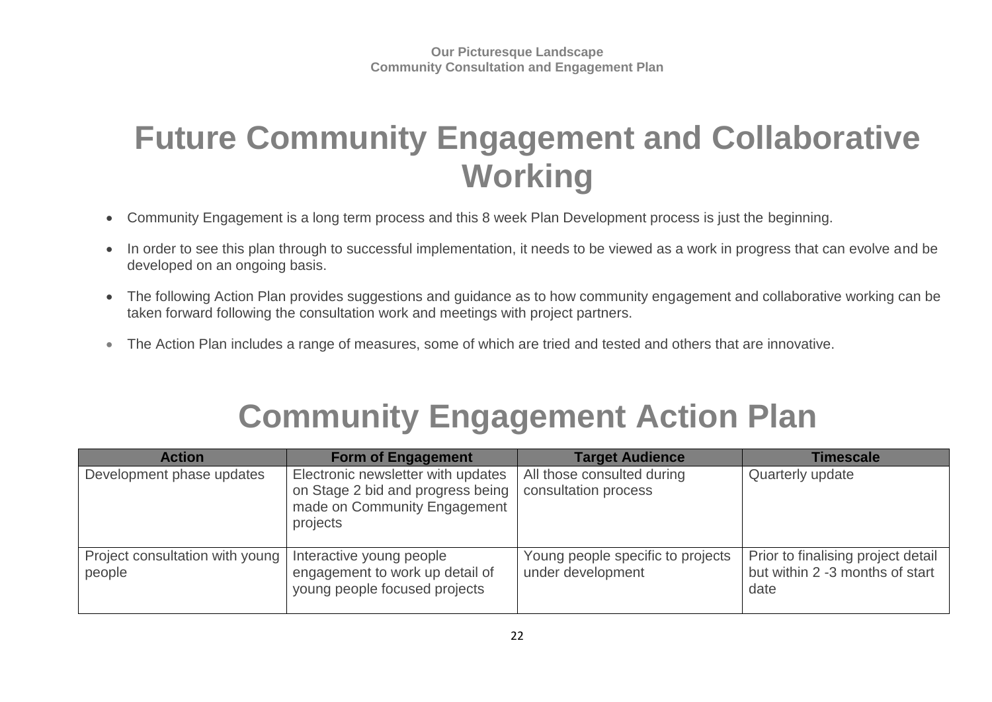## **Future Community Engagement and Collaborative Working**

- Community Engagement is a long term process and this 8 week Plan Development process is just the beginning.
- In order to see this plan through to successful implementation, it needs to be viewed as a work in progress that can evolve and be developed on an ongoing basis.
- The following Action Plan provides suggestions and guidance as to how community engagement and collaborative working can be taken forward following the consultation work and meetings with project partners.
- The Action Plan includes a range of measures, some of which are tried and tested and others that are innovative.

# **Community Engagement Action Plan**

| <b>Action</b>                             | <b>Form of Engagement</b>                                                                                           | <b>Target Audience</b>                                 | Timescale                                                                     |
|-------------------------------------------|---------------------------------------------------------------------------------------------------------------------|--------------------------------------------------------|-------------------------------------------------------------------------------|
| Development phase updates                 | Electronic newsletter with updates<br>on Stage 2 bid and progress being<br>made on Community Engagement<br>projects | All those consulted during<br>consultation process     | Quarterly update                                                              |
| Project consultation with young<br>people | Interactive young people<br>engagement to work up detail of<br>young people focused projects                        | Young people specific to projects<br>under development | Prior to finalising project detail<br>but within 2 -3 months of start<br>date |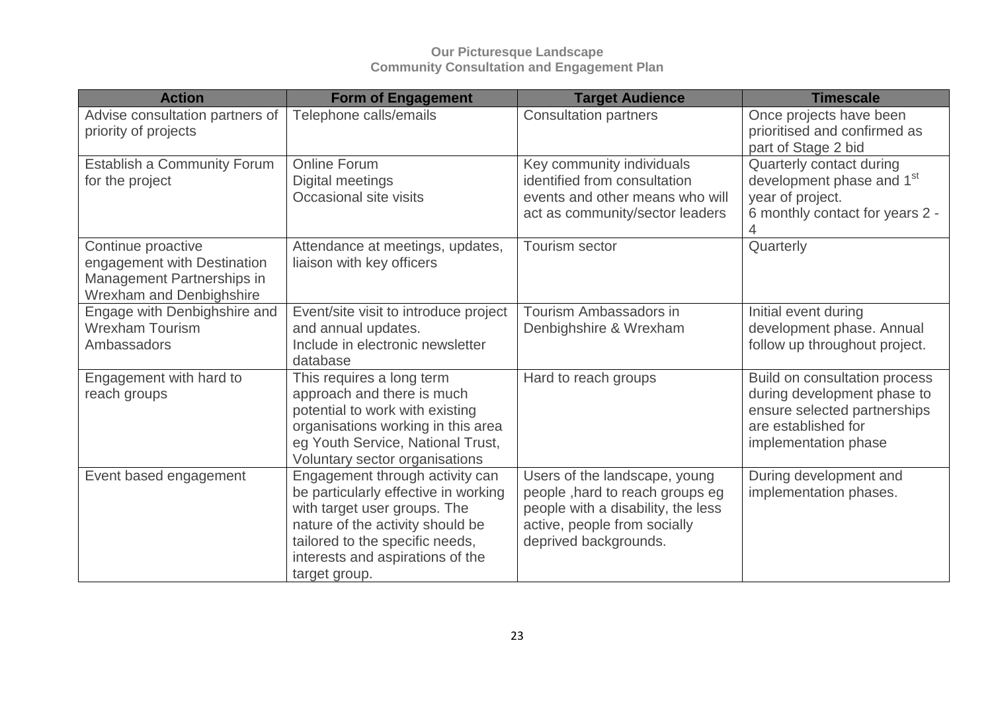| <b>Action</b>                                                                                                      | <b>Form of Engagement</b>                                                                                                                                                                                                           | <b>Target Audience</b>                                                                                                                                          | <b>Timescale</b>                                                                                                                            |
|--------------------------------------------------------------------------------------------------------------------|-------------------------------------------------------------------------------------------------------------------------------------------------------------------------------------------------------------------------------------|-----------------------------------------------------------------------------------------------------------------------------------------------------------------|---------------------------------------------------------------------------------------------------------------------------------------------|
| Advise consultation partners of<br>priority of projects                                                            | Telephone calls/emails                                                                                                                                                                                                              | <b>Consultation partners</b>                                                                                                                                    | Once projects have been<br>prioritised and confirmed as<br>part of Stage 2 bid                                                              |
| Establish a Community Forum<br>for the project                                                                     | <b>Online Forum</b><br>Digital meetings<br>Occasional site visits                                                                                                                                                                   | Key community individuals<br>identified from consultation<br>events and other means who will<br>act as community/sector leaders                                 | Quarterly contact during<br>development phase and 1 <sup>st</sup><br>year of project.<br>6 monthly contact for years 2 -                    |
| Continue proactive<br>engagement with Destination<br>Management Partnerships in<br><b>Wrexham and Denbighshire</b> | Attendance at meetings, updates,<br>liaison with key officers                                                                                                                                                                       | Tourism sector                                                                                                                                                  | Quarterly                                                                                                                                   |
| Engage with Denbighshire and<br><b>Wrexham Tourism</b><br>Ambassadors                                              | Event/site visit to introduce project<br>and annual updates.<br>Include in electronic newsletter<br>database                                                                                                                        | <b>Tourism Ambassadors in</b><br>Denbighshire & Wrexham                                                                                                         | Initial event during<br>development phase. Annual<br>follow up throughout project.                                                          |
| Engagement with hard to<br>reach groups                                                                            | This requires a long term<br>approach and there is much<br>potential to work with existing<br>organisations working in this area<br>eg Youth Service, National Trust,<br>Voluntary sector organisations                             | Hard to reach groups                                                                                                                                            | Build on consultation process<br>during development phase to<br>ensure selected partnerships<br>are established for<br>implementation phase |
| Event based engagement                                                                                             | Engagement through activity can<br>be particularly effective in working<br>with target user groups. The<br>nature of the activity should be<br>tailored to the specific needs,<br>interests and aspirations of the<br>target group. | Users of the landscape, young<br>people, hard to reach groups eg<br>people with a disability, the less<br>active, people from socially<br>deprived backgrounds. | During development and<br>implementation phases.                                                                                            |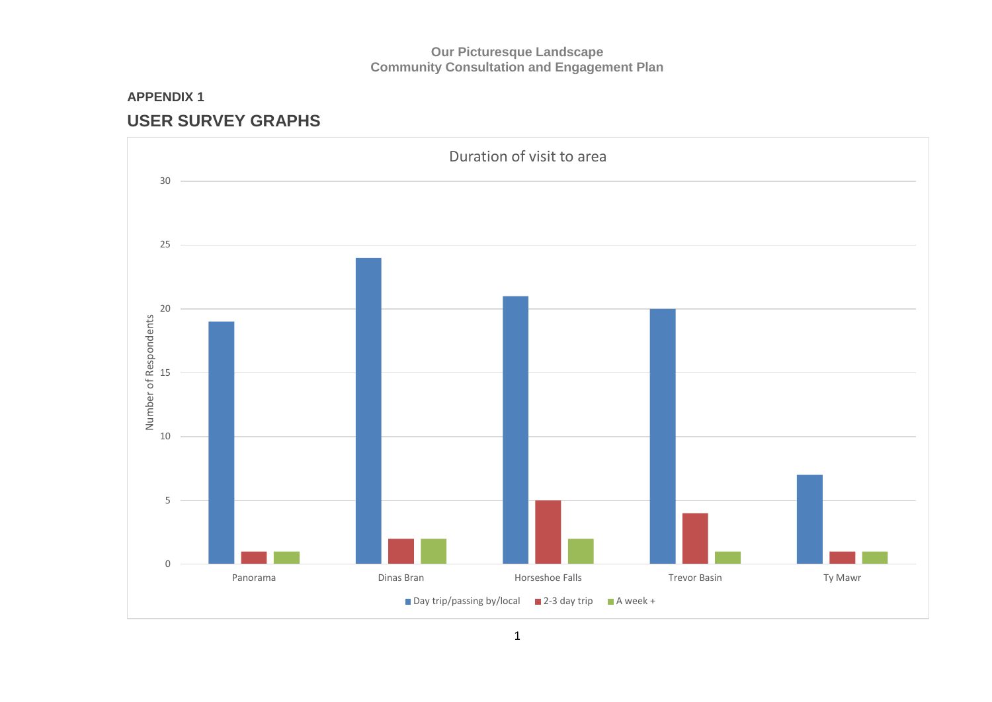### **APPENDIX 1 USER SURVEY GRAPHS**

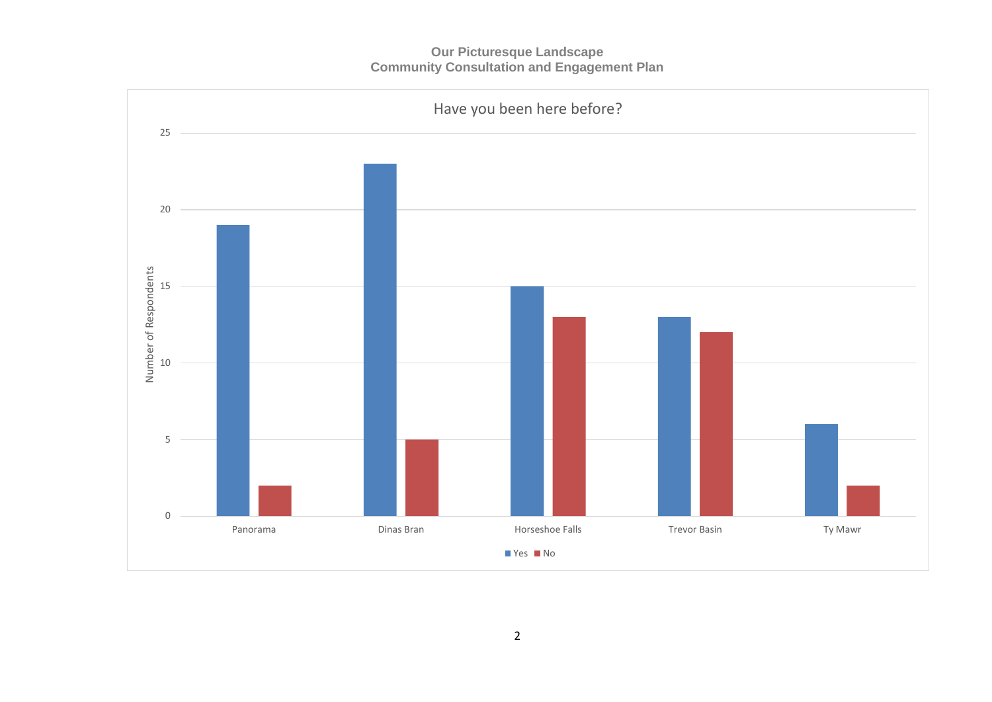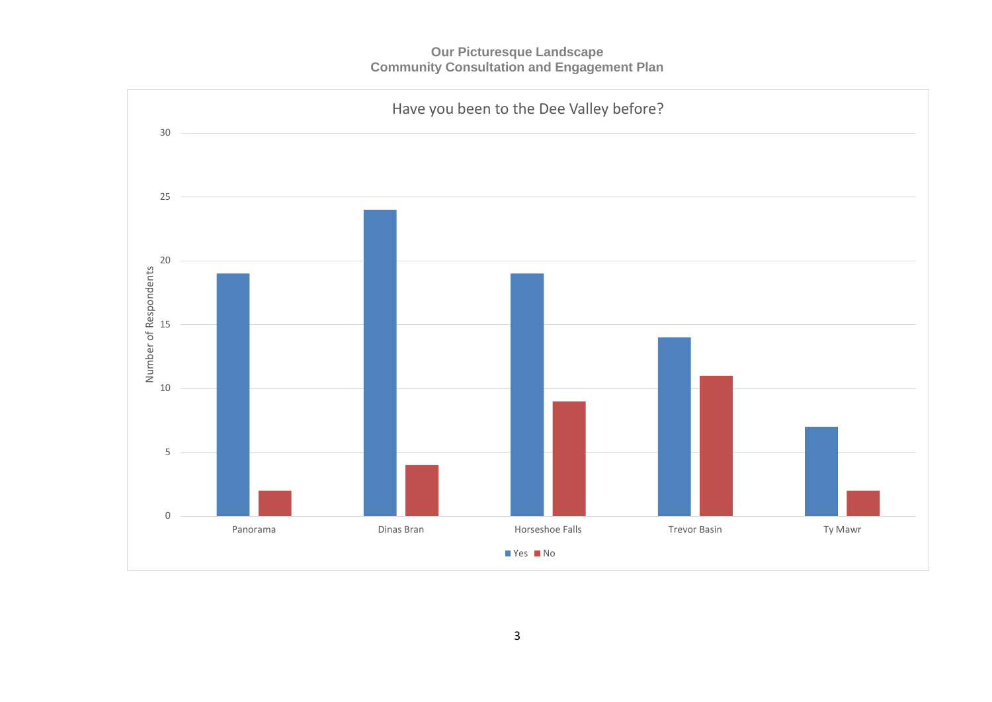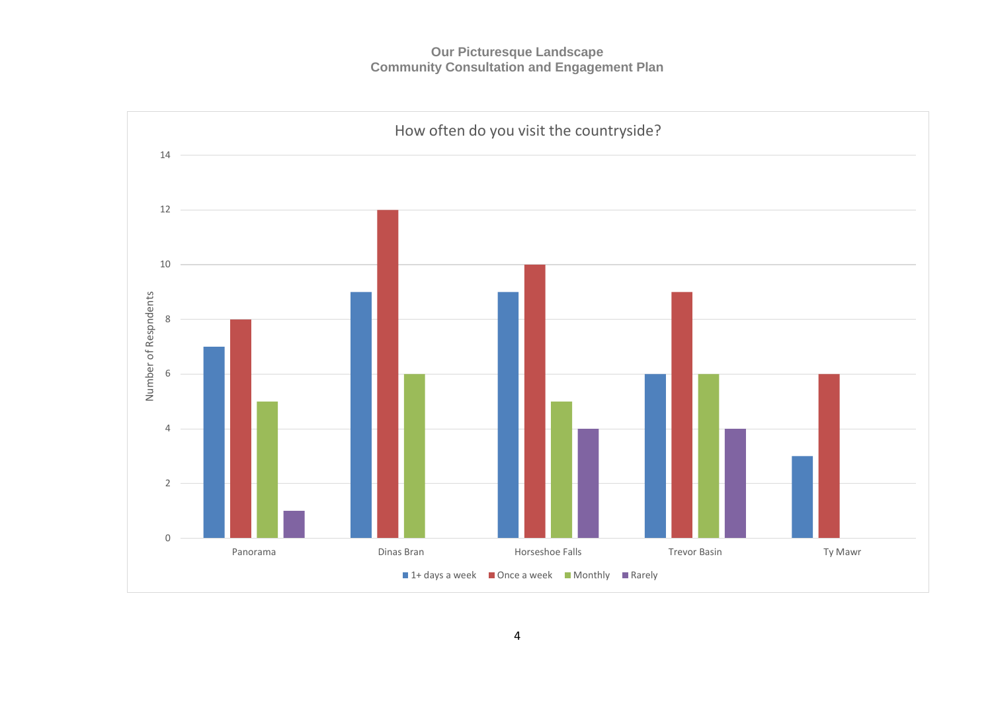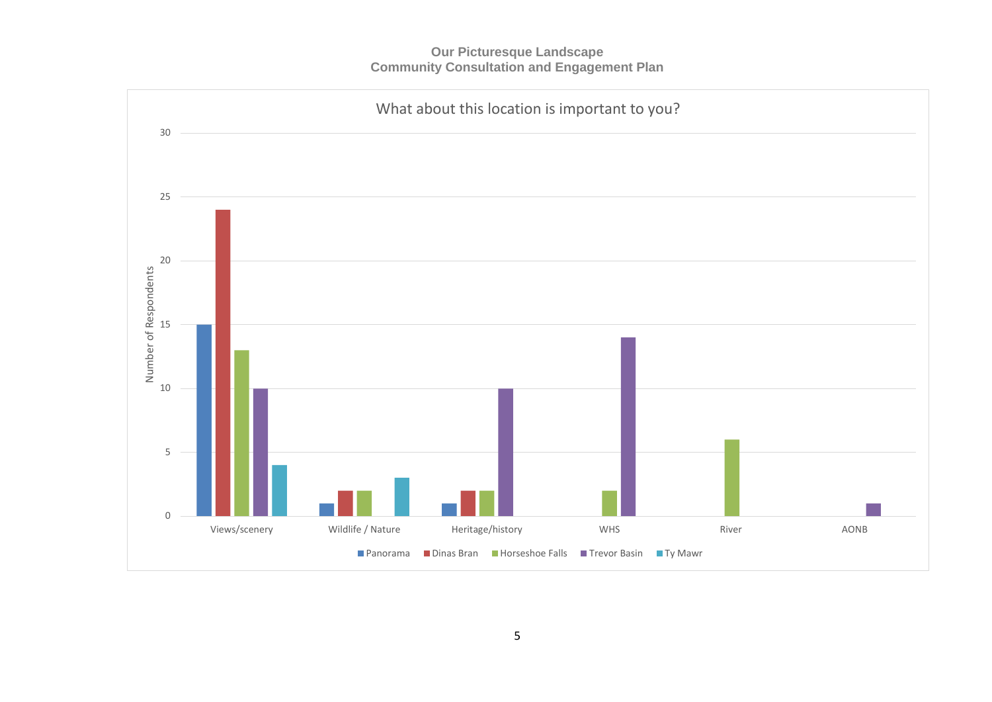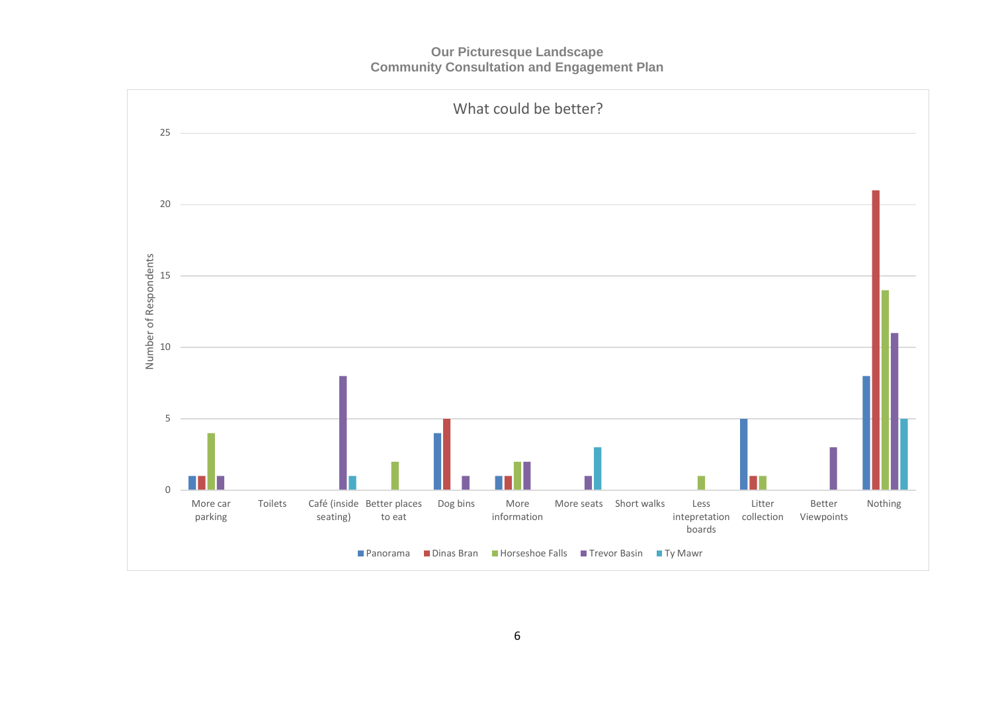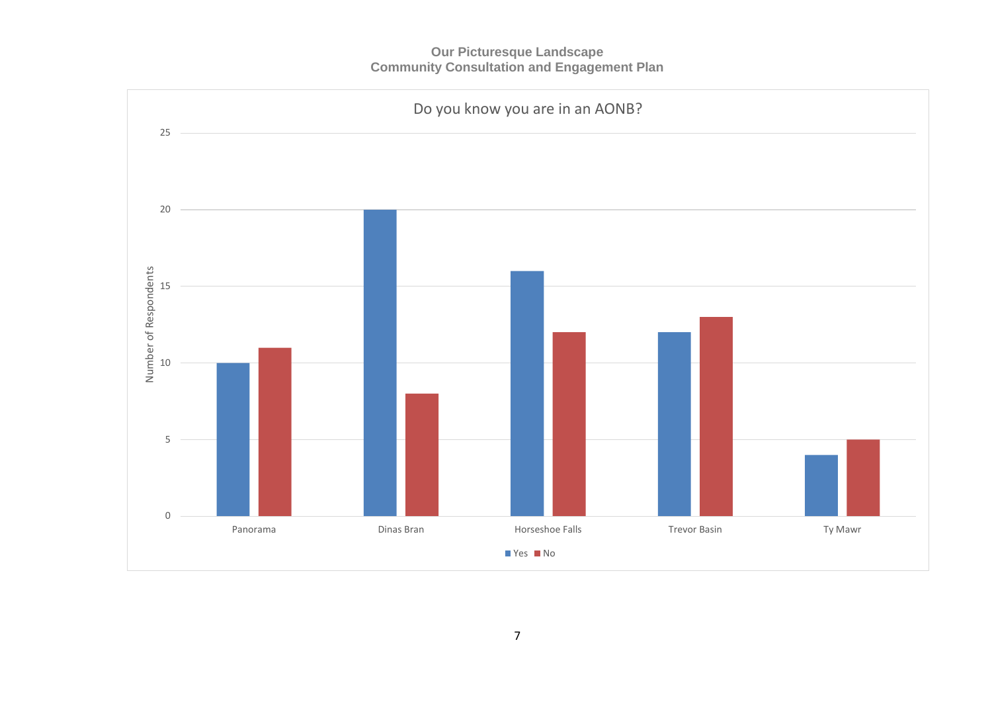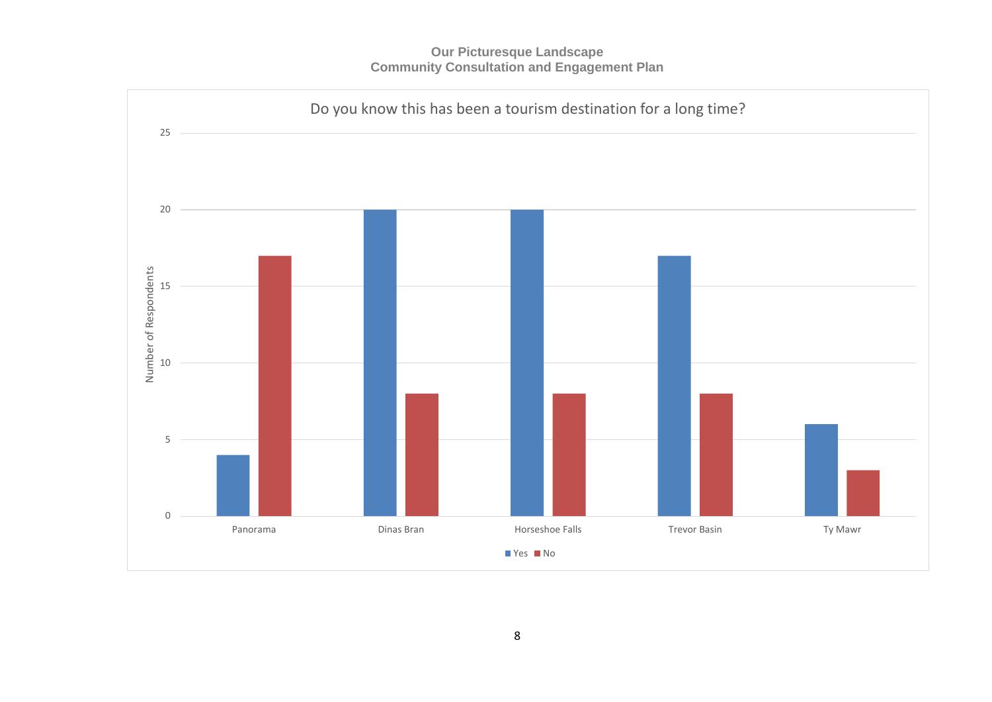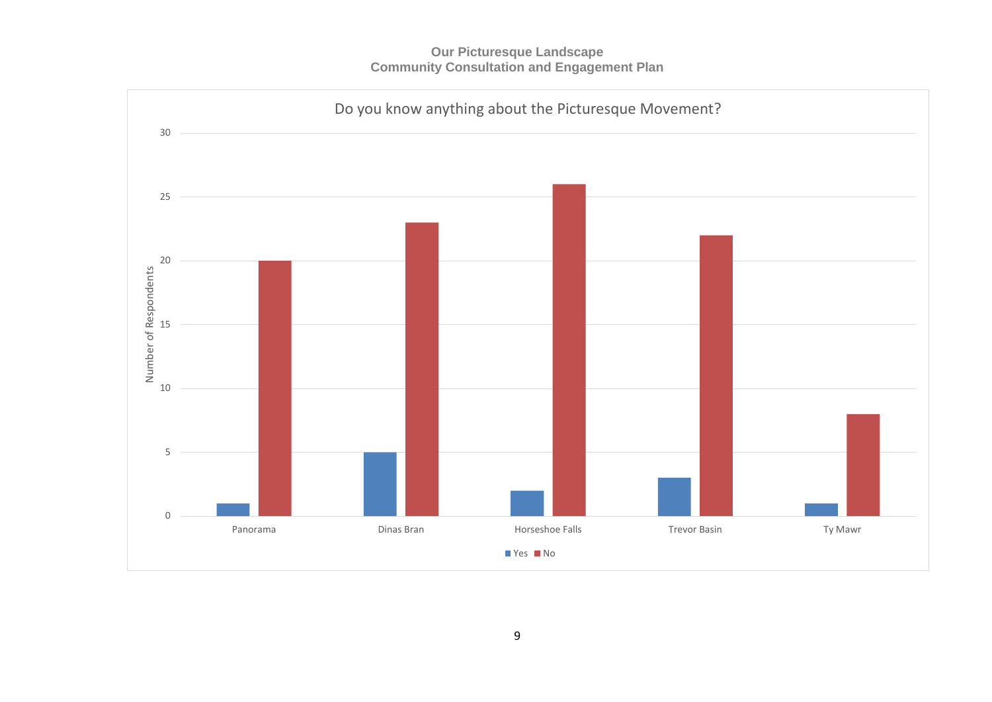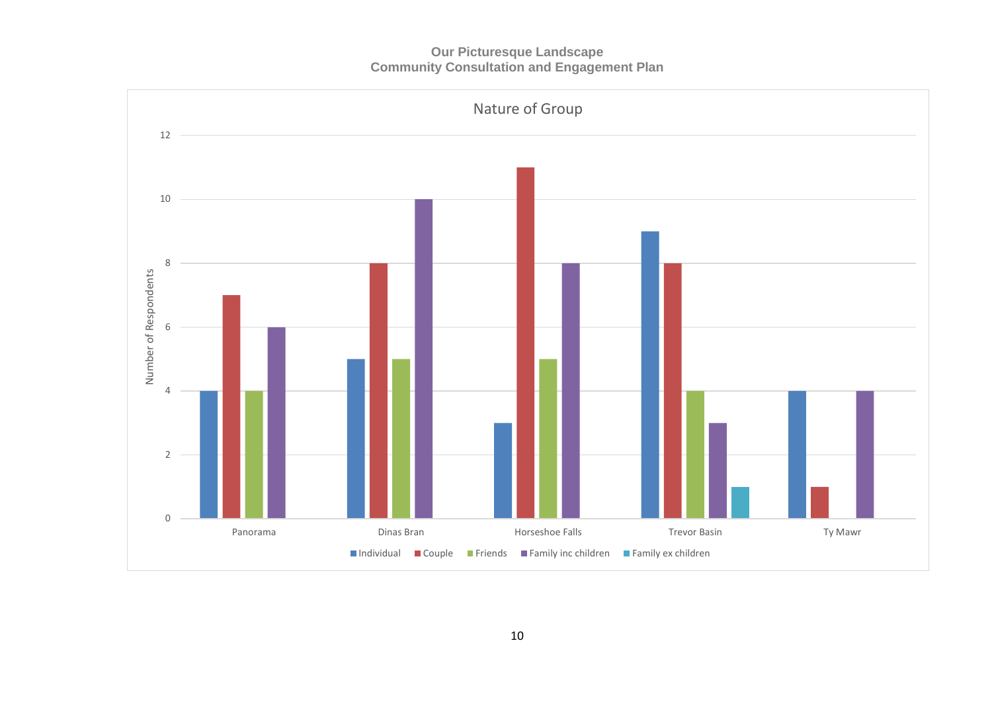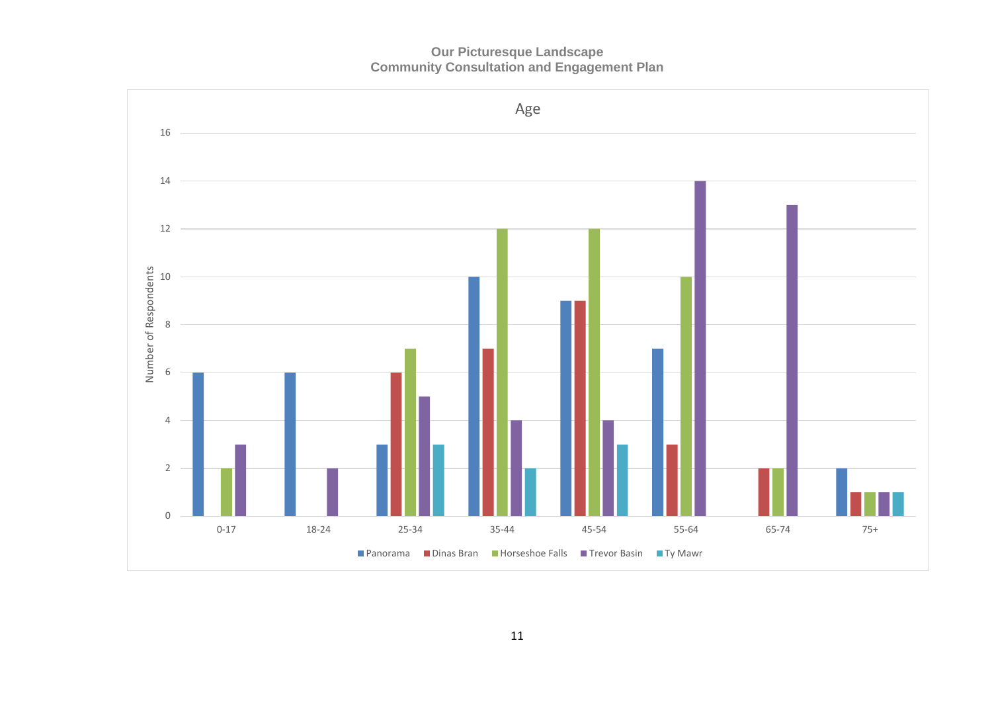**Our Picturesque Landscape Community Consultation and Engagement Plan**

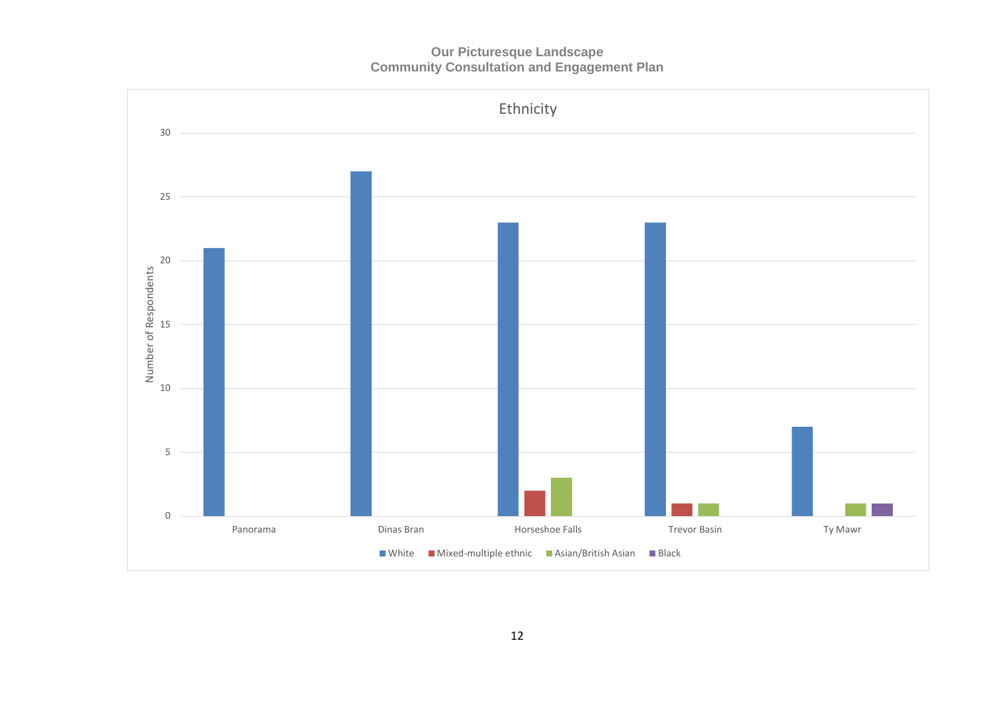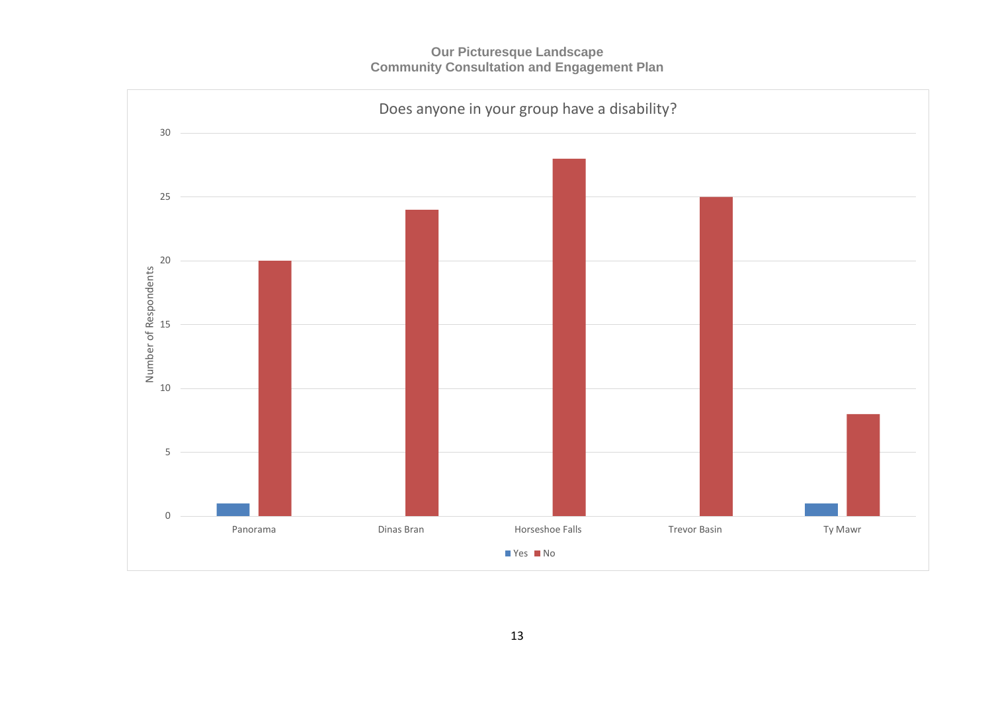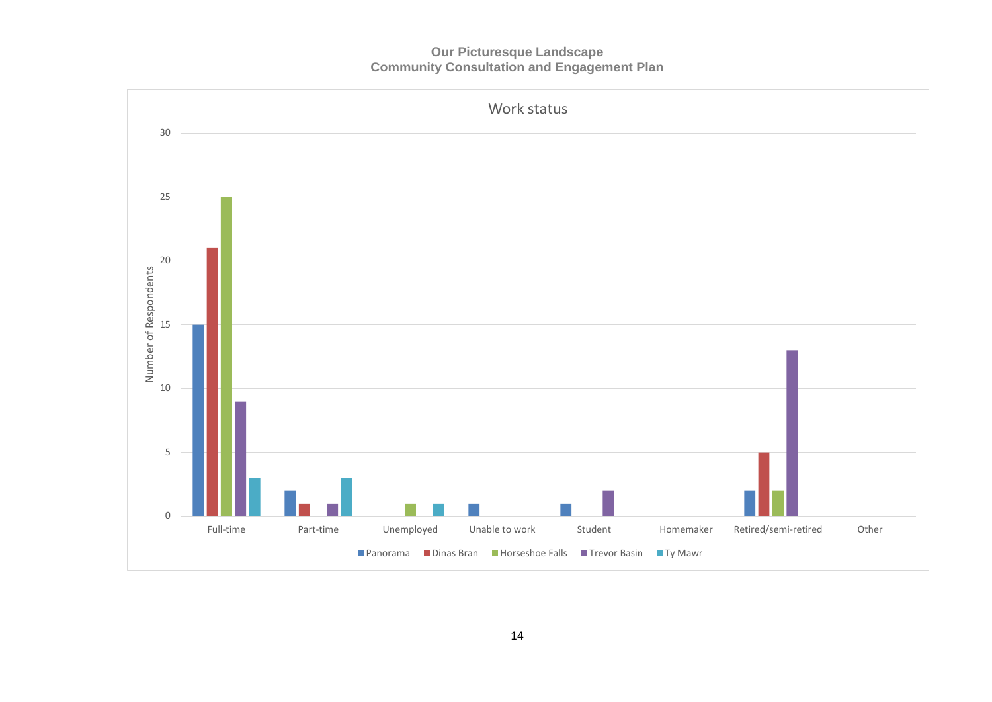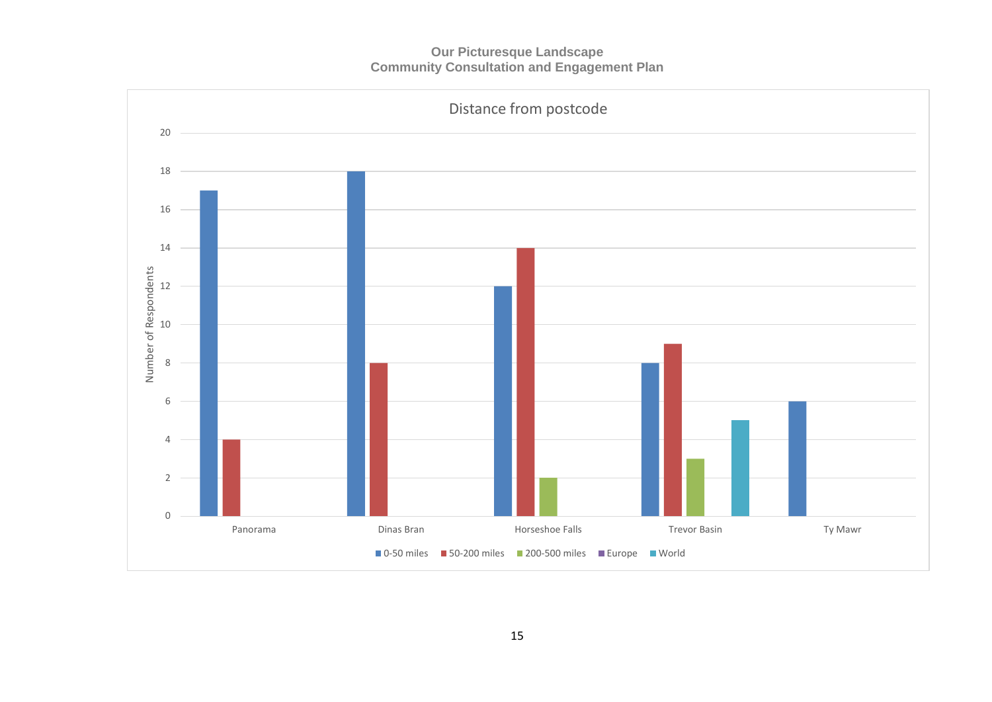